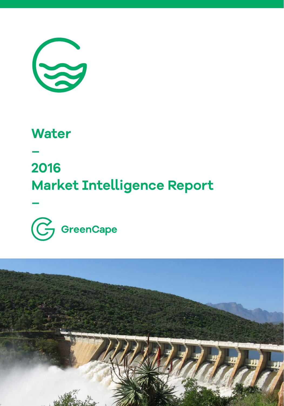

### **Water**

**–** 

**–**

## **2016 Market Intelligence Report**



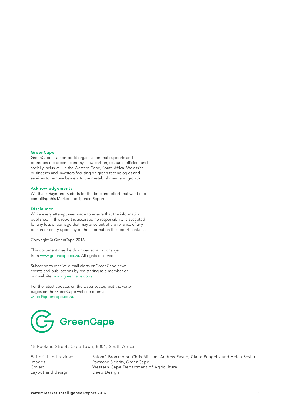#### **GreenCape**

GreenCape is a non-profit organisation that supports and promotes the green economy - low carbon, resource efficient and socially inclusive - in the Western Cape, South Africa. We assist businesses and investors focusing on green technologies and services to remove barriers to their establishment and growth.

#### Acknowledgements

We thank Raymond Siebrits for the time and effort that went into compiling this Market Intelligence Report.

#### Disclaimer

While every attempt was made to ensure that the information published in this report is accurate, no responsibility is accepted for any loss or damage that may arise out of the reliance of any person or entity upon any of the information this report contains.

Copyright © GreenCape 2016

This document may be downloaded at no charge from [www.greencape.co.za](http://www.greencape.co.za). All rights reserved.

Subscribe to receive e-mail alerts or GreenCape news, events and publications by registering as a member on our website[: www.greencape.co.za](http://www.greencape.co.za)

For the latest updates on the water sector, visit the water pages on the GreenCape website or email [water@greencape.co.za.](http://water@greencape.co.za)



18 Roeland Street, Cape Town, 8001, South Africa

Layout and design: Deep Design

Editorial and review: Salomé Bronkhorst, Chris Millson, Andrew Payne, Claire Pengelly and Helen Seyler. Images: Raymond Siebrits, GreenCape Western Cape Department of Agriculture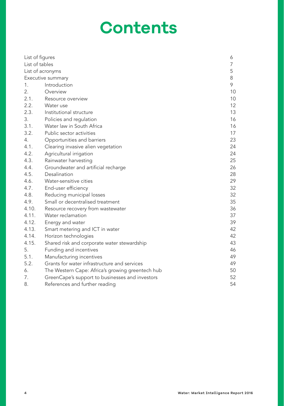## **Contents**

| List of figures   |                                                  | 6  |  |  |  |  |
|-------------------|--------------------------------------------------|----|--|--|--|--|
| List of tables    |                                                  |    |  |  |  |  |
|                   | List of acronyms                                 |    |  |  |  |  |
| Executive summary | 8                                                |    |  |  |  |  |
| 1.                | Introduction                                     | 9  |  |  |  |  |
| 2.                | Overview                                         | 10 |  |  |  |  |
| 2.1.              | Resource overview                                | 10 |  |  |  |  |
| 2.2.              | Water use                                        | 12 |  |  |  |  |
| 2.3.              | Institutional structure                          | 13 |  |  |  |  |
| 3.                | Policies and regulation                          | 16 |  |  |  |  |
| 3.1.              | Water law in South Africa                        | 16 |  |  |  |  |
| 3.2.              | Public sector activities                         | 17 |  |  |  |  |
| 4.                | Opportunities and barriers                       | 23 |  |  |  |  |
| 4.1.              | Clearing invasive alien vegetation               | 24 |  |  |  |  |
| 4.2.              | Agricultural irrigation                          | 24 |  |  |  |  |
| 4.3.              | Rainwater harvesting                             | 25 |  |  |  |  |
| 4.4.              | Groundwater and artificial recharge              | 26 |  |  |  |  |
| 4.5.              | Desalination                                     | 28 |  |  |  |  |
| 4.6.              | Water-sensitive cities                           | 29 |  |  |  |  |
| 4.7.              | End-user efficiency                              | 32 |  |  |  |  |
| 4.8.              | Reducing municipal losses                        | 32 |  |  |  |  |
| 4.9.              | Small or decentralised treatment                 | 35 |  |  |  |  |
| 4.10.             | Resource recovery from wastewater                | 36 |  |  |  |  |
| 4.11.             | Water reclamation                                | 37 |  |  |  |  |
| 4.12.             | Energy and water                                 | 39 |  |  |  |  |
| 4.13.             | Smart metering and ICT in water                  | 42 |  |  |  |  |
| 4.14.             | Horizon technologies                             | 42 |  |  |  |  |
| 4.15.             | Shared risk and corporate water stewardship      | 43 |  |  |  |  |
| 5.                | Funding and incentives                           | 46 |  |  |  |  |
| 5.1.              | Manufacturing incentives                         | 49 |  |  |  |  |
| 5.2.              | Grants for water infrastructure and services     | 49 |  |  |  |  |
| 6.                | The Western Cape: Africa's growing greentech hub | 50 |  |  |  |  |
| 7.                | GreenCape's support to businesses and investors  | 52 |  |  |  |  |
| 8.                | References and further reading                   | 54 |  |  |  |  |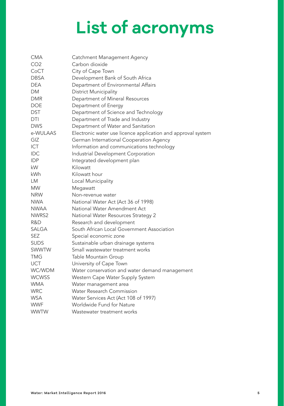# **List of acronyms**

<span id="page-4-0"></span>

| CMA             | Catchment Management Agency                                  |
|-----------------|--------------------------------------------------------------|
| CO <sub>2</sub> | Carbon dioxide                                               |
| CoCT            | City of Cape Town                                            |
| <b>DBSA</b>     | Development Bank of South Africa                             |
| DEA             | Department of Environmental Affairs                          |
| DМ              | District Municipality                                        |
| DMR             | Department of Mineral Resources                              |
| <b>DOE</b>      | Department of Energy                                         |
| <b>DST</b>      | Department of Science and Technology                         |
| DTI             | Department of Trade and Industry                             |
| <b>DWS</b>      | Department of Water and Sanitation                           |
| e-WULAAS        | Electronic water use licence application and approval system |
| GIZ             | German International Cooperation Agency                      |
| <b>ICT</b>      | Information and communications technology                    |
| <b>IDC</b>      | Industrial Development Corporation                           |
| <b>IDP</b>      | Integrated development plan                                  |
| kW              | Kilowatt                                                     |
| kWh             | Kilowatt hour                                                |
| LM              | Local Municipality                                           |
| <b>MW</b>       | Megawatt                                                     |
| <b>NRW</b>      | Non-revenue water                                            |
| NWA             | National Water Act (Act 36 of 1998)                          |
| <b>NWAA</b>     | National Water Amendment Act                                 |
| NWRS2           | National Water Resources Strategy 2                          |
| R&D             | Research and development                                     |
| SALGA           | South African Local Government Association                   |
| SEZ             | Special economic zone                                        |
| <b>SUDS</b>     | Sustainable urban drainage systems                           |
| SWWTW           | Small wastewater treatment works                             |
| TMG             | Table Mountain Group                                         |
| UCT             | University of Cape Town                                      |
| WC/WDM          | Water conservation and water demand management               |
| <b>WCWSS</b>    | Western Cape Water Supply System                             |
| <b>WMA</b>      | Water management area                                        |
| <b>WRC</b>      | <b>Water Research Commission</b>                             |
| <b>WSA</b>      | Water Services Act (Act 108 of 1997)                         |
| <b>WWF</b>      | Worldwide Fund for Nature                                    |
| <b>WWTW</b>     | Wastewater treatment works                                   |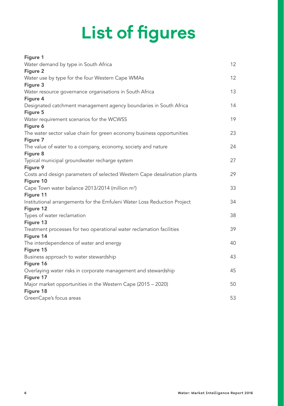# **List of figures**

<span id="page-5-0"></span>

| Figure 1                                                                          |    |
|-----------------------------------------------------------------------------------|----|
| Water demand by type in South Africa                                              | 12 |
| Figure 2                                                                          |    |
| Water use by type for the four Western Cape WMAs                                  | 12 |
| Figure 3                                                                          |    |
| Water resource governance organisations in South Africa                           | 13 |
| Figure 4                                                                          |    |
| Designated catchment management agency boundaries in South Africa                 | 14 |
| Figure 5                                                                          | 19 |
| Water requirement scenarios for the WCWSS<br>Figure 6                             |    |
| The water sector value chain for green economy business opportunities             | 23 |
| Figure 7                                                                          |    |
| The value of water to a company, economy, society and nature                      | 24 |
| Figure 8                                                                          |    |
| Typical municipal groundwater recharge system                                     | 27 |
| Figure 9                                                                          |    |
| Costs and design parameters of selected Western Cape desalination plants          | 29 |
| Figure 10                                                                         |    |
| Cape Town water balance 2013/2014 (million m <sup>3</sup> )                       | 33 |
| Figure 11                                                                         |    |
| Institutional arrangements for the Emfuleni Water Loss Reduction Project          | 34 |
| Figure 12                                                                         |    |
| Types of water reclamation                                                        | 38 |
| Figure 13                                                                         | 39 |
| Treatment processes for two operational water reclamation facilities<br>Figure 14 |    |
| The interdependence of water and energy                                           | 40 |
| Figure 15                                                                         |    |
| Business approach to water stewardship                                            | 43 |
| Figure 16                                                                         |    |
| Overlaying water risks in corporate management and stewardship                    | 45 |
| Figure 17                                                                         |    |
| Major market opportunities in the Western Cape (2015 - 2020)                      | 50 |
| Figure 18                                                                         |    |
| GreenCape's focus areas                                                           | 53 |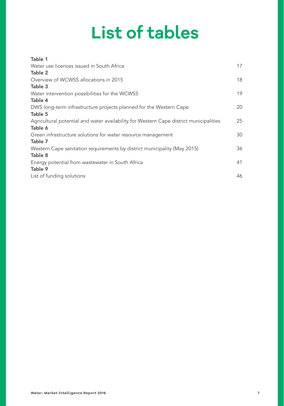# **List of tables**

<span id="page-6-0"></span>

| Table 1                                                                                |    |
|----------------------------------------------------------------------------------------|----|
| Water use licences issued in South Africa                                              | 17 |
| Table 2                                                                                |    |
| Overview of WCWSS allocations in 2015                                                  | 18 |
| Table 3                                                                                |    |
| Water intervention possibilities for the WCWSS                                         | 19 |
| Table 4                                                                                |    |
| DWS long-term infrastructure projects planned for the Western Cape                     | 20 |
| Table 5                                                                                |    |
| Agricultural potential and water availability for Western Cape district municipalities | 25 |
| Table 6                                                                                |    |
| Green infrastructure solutions for water resource management                           | 30 |
| Table 7                                                                                |    |
| Western Cape sanitation requirements by district municipality (May 2015)               | 36 |
| Table 8                                                                                |    |
| Energy potential from wastewater in South Africa                                       | 41 |
| Table 9                                                                                |    |
| List of funding solutions                                                              | 46 |
|                                                                                        |    |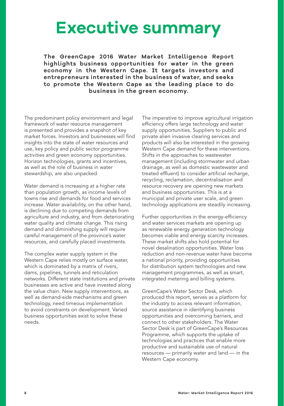### <span id="page-7-0"></span>**Executive summary**

**The GreenCape 2016 Water Market Intelligence Report highlights business opportunities for water in the green economy in the Western Cape. It targets investors and entrepreneurs interested in the business of water, and seeks to promote the Western Cape as the leading place to do business in the green economy.**

The predominant policy environment and legal framework of water resource management is presented and provides a snapshot of key market forces. Investors and businesses will find insights into the state of water resources and use, key policy and public sector programme activities and green economy opportunities. Horizon technologies, grants and incentives, as well as the role of business in water stewardship, are also unpacked.

Water demand is increasing at a higher rate than population growth, as income levels of towns rise and demands for food and services increase. Water availability, on the other hand, is declining due to competing demands from agriculture and industry, and from deteriorating water quality and climate change. This rising demand and diminishing supply will require careful management of the province's water resources, and carefully placed investments.

The complex water supply system in the Western Cape relies mostly on surface water, which is dominated by a matrix of rivers, dams, pipelines, tunnels and reticulation networks. Different state institutions and private businesses are active and have invested along the value chain. New supply interventions, as well as demand-side mechanisms and green technology, need timeous implementation to avoid constraints on development. Varied business opportunities exist to solve these needs.

The imperative to improve agricultural irrigation efficiency offers large technology and water supply opportunities. Suppliers to public and private alien invasive clearing services and products will also be interested in the growing Western Cape demand for these interventions. Shifts in the approaches to wastewater management (including stormwater and urban drainage, as well as domestic wastewater and treated effluent) to consider artificial recharge, recycling, reclamation, decentralisation and resource recovery are opening new markets and business opportunities. This is at a municipal and private user scale, and green technology applications are steadily increasing.

Further opportunities in the energy-efficiency and water services markets are opening up as renewable energy generation technology becomes viable and energy scarcity increases. These market shifts also hold potential for novel desalination opportunities. Water loss reduction and non-revenue water have become a national priority, providing opportunities for distribution system technologies and new management programmes, as well as smart, integrated metering and billing systems.

GreenCape's Water Sector Desk, which produced this report, serves as a platform for the industry to access relevant information, source assistance in identifying business opportunities and overcoming barriers, and connect to other stakeholders. The Water Sector Desk is part of GreenCape's Resources Programme, which supports the uptake of technologies and practices that enable more productive and sustainable use of natural resources — primarily water and land — in the Western Cape economy.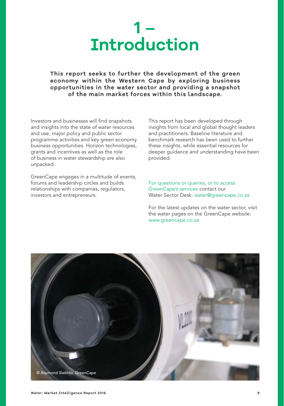

<span id="page-8-0"></span>**This report seeks to further the development of the green economy within the Western Cape by exploring business opportunities in the water sector and providing a snapshot of the main market forces within this landscape.** 

Investors and businesses will find snapshots and insights into the state of water resources and use, major policy and public sector programme activities and key green economy business opportunities. Horizon technologies, grants and incentives as well as the role of business in water stewardship are also unpacked.

GreenCape engages in a multitude of events, forums and leadership circles and builds relationships with companies, regulators, investors and entrepreneurs.

This report has been developed through insights from local and global thought leaders and practitioners. Baseline literature and benchmark research has been used to further these insights, while essential resources for deeper guidance and understanding have been provided.

For questions or queries, or to access GreenCape's services contact our Water Sector Desk: [water@greencape.co.za](mailto:water%40green-cape.co.za?subject=)

For the latest updates on the water sector, visit the water pages on the GreenCape website: [www.greencape.co.za](http://www.greencape.co.za)

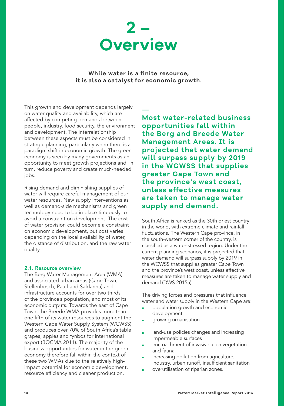<span id="page-9-0"></span>

**While water is a finite resource, it is also a catalyst for economic growth.** 

This growth and development depends largely on water quality and availability, which are affected by competing demands between people, industry, food security, the environment and development. The interrelationship between these aspects must be considered in strategic planning, particularly when there is a paradigm shift in economic growth. The green economy is seen by many governments as an opportunity to meet growth projections and, in turn, reduce poverty and create much-needed iobs.

Rising demand and diminishing supplies of water will require careful management of our water resources. New supply interventions as well as demand-side mechanisms and green technology need to be in place timeously to avoid a constraint on development. The cost of water provision could become a constraint on economic development, but cost varies depending on the local availability of water, the distance of distribution, and the raw water quality.

#### 2.1. Resource overview

The Berg Water Management Area (WMA) and associated urban areas (Cape Town, Stellenbosch, Paarl and Saldanha) and infrastructure accounts for over two thirds of the province's population, and most of its economic outputs. Towards the east of Cape Town, the Breede WMA provides more than one fifth of its water resources to augment the Western Cape Water Supply System (WCWSS) and produces over 70% of South Africa's table grapes, apples and fynbos for international export (BOCMA 2011). The majority of the business opportunities for water in the green economy therefore fall within the context of these two WMAs due to the relatively highimpact potential for economic development, resource efficiency and cleaner production.

### **—**

**Most water-related business opportunities fall within the Berg and Breede Water Management Areas. It is projected that water demand will surpass supply by 2019 in the WCWSS that supplies greater Cape Town and the province's west coast, unless effective measures are taken to manage water supply and demand.**

South Africa is ranked as the 30th driest country in the world, with extreme climate and rainfall fluctuations. The Western Cape province, in the south-western corner of the country, is classified as a water-stressed region. Under the current planning scenarios, it is projected that water demand will surpass supply by 2019 in the WCWSS that supplies greater Cape Town and the province's west coast, unless effective measures are taken to manage water supply and demand (DWS 2015a).

The driving forces and pressures that influence water and water supply in the Western Cape are:

- population growth and economic development
- growing urbanisation
- land-use policies changes and increasing impermeable surfaces
- encroachment of invasive alien vegetation and fauna
- increasing pollution from agriculture, industry, urban runoff, insufficient sanitation
- overutilisation of riparian zones.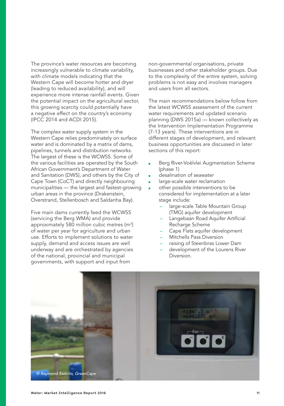The province's water resources are becoming increasingly vulnerable to climate variability, with climate models indicating that the Western Cape will become hotter and dryer (leading to reduced availability), and will experience more intense rainfall events. Given the potential impact on the agricultural sector, this growing scarcity could potentially have a negative effect on the country's economy (IPCC 2014 and ACDI 2015).

The complex water supply system in the Western Cape relies predominately on surface water and is dominated by a matrix of dams, pipelines, tunnels and distribution networks. The largest of these is the WCWSS. Some of the various facilities are operated by the South African Government's Department of Water and Sanitation (DWS), and others by the City of Cape Town (CoCT) and directly neighbouring municipalities — the largest and fastest-growing urban areas in the province (Drakenstein, Overstrand, Stellenbosch and Saldanha Bay).

Five main dams currently feed the WCWSS (servicing the Berg WMA) and provide approximately 580 million cubic metres  $(m^3)$ of water per year for agriculture and urban use. Efforts to implement solutions to water supply, demand and access issues are well underway and are orchestrated by agencies of the national, provincial and municipal governments, with support and input from

non-governmental organisations, private businesses and other stakeholder groups. Due to the complexity of the entire system, solving problems is not easy and involves managers and users from all sectors.

The main recommendations below follow from the latest WCWSS assessment of the current water requirements and updated scenario planning (DWS 2015a) — known collectively as the Intervention Implementation Programme (7-13 years). These interventions are in different stages of development, and relevant business opportunities are discussed in later sections of this report:

- Berg River-Voëlvlei Augmentation Scheme (phase 1)
- desalination of seawater
- large-scale water reclamation
- other possible interventions to be considered for implementation at a later stage include:
	- large-scale Table Mountain Group (TMG) aquifer development
	- Langebaan Road Aquifer Artificial Recharge Scheme
	- Cape Flats aquifer development
	- Mitchells Pass Diversion
	- raising of Steenbras Lower Dam
	- development of the Lourens River Diversion.

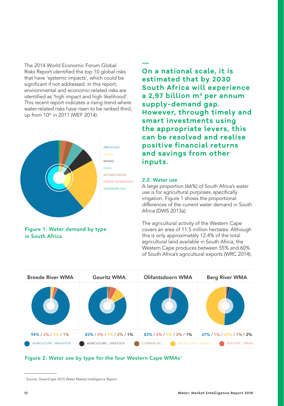<span id="page-11-0"></span>The 2014 World Economic Forum Global Risks Report identified the top 10 global risks that have 'systemic impacts', which could be significant if not addressed. In this report, environmental and economic-related risks are identified as 'high impact and high likelihood'. This recent report indicates a rising trend where water-related risks have risen to be ranked third, up from 10<sup>th</sup> in 2011 (WEF 2014).



irrigation mining rural afforestation power generation transfers out

#### Figure 1: Water demand by type in South Africa

**— On a national scale, it is estimated that by 2030 South Africa will experience a 2,97 billion m3 per annum supply-demand gap. However, through timely and smart investments using the appropriate levers, this can be resolved and realise positive financial returns and savings from other inputs.** 

#### 2.2. Water use

A large proportion (66%) of South Africa's water use is for agricultural purposes, specifically irrigation. Figure 1 shows the proportional differences of the current water demand in South Africa (DWS 2013a).

The agricultural activity of the Western Cape covers an area of 11.5 million hectares. Although this is only approximately 12.4% of the total agricultural land available in South Africa, the Western Cape produces between 55% and 60% of South Africa's agricultural exports (WRC 2014).

| <b>Breede River WMA</b>        | <b>Gouritz WMA</b>      | Olifantsdoorn WMA                         | <b>Berg River WMA</b>    |
|--------------------------------|-------------------------|-------------------------------------------|--------------------------|
|                                |                         |                                           |                          |
| $94\%$ / 3% / 2% / 1%          | 83% / 5% / 9% / 2% / 1% | 83% / 5% / 9% / 2% / 1%                   | 47% / 1% / 49% / 1% / 2% |
| <b>AGRICULTURE: IRRIGATION</b> | AGRICULTURE: LIVESTOCK  | <b>COMMERCIAL</b><br>WATER SUPPLY SERVICE | <b>INDUSTRY: URBAN</b>   |

#### Figure 2: Water use by type for the four Western Cape WMAs<sup>1</sup>

<sup>1</sup> Source: GreenCape 2015 Water Market Intelligence Report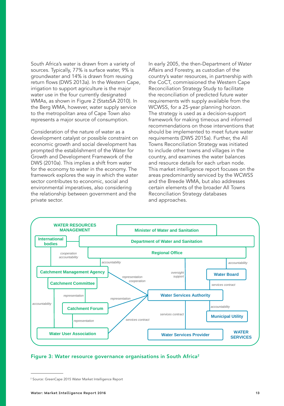<span id="page-12-0"></span>South Africa's water is drawn from a variety of sources. Typically, 77% is surface water, 9% is groundwater and 14% is drawn from reusing return flows (DWS 2013a). In the Western Cape, irrigation to support agriculture is the major water use in the four currently designated WMAs, as shown in Figure 2 (StatsSA 2010). In the Berg WMA, however, water supply service to the metropolitan area of Cape Town also represents a major source of consumption.

Consideration of the nature of water as a development catalyst or possible constraint on economic growth and social development has prompted the establishment of the Water for Growth and Development Framework of the DWS (2010a). This implies a shift from water for the economy to water in the economy. The framework explores the way in which the water sector contributes to economic, social and environmental imperatives, also considering the relationship between government and the private sector.

In early 2005, the then-Department of Water Affairs and Forestry, as custodian of the country's water resources, in partnership with the CoCT, commissioned the Western Cape Reconciliation Strategy Study to facilitate the reconciliation of predicted future water requirements with supply available from the WCWSS, for a 25-year planning horizon. The strategy is used as a decision-support framework for making timeous and informed recommendations on those interventions that should be implemented to meet future water requirements (DWS 2015a). Further, the All Towns Reconciliation Strategy was initiated to include other towns and villages in the country, and examines the water balances and resource details for each urban node. This market intelligence report focuses on the areas predominantly serviced by the WCWSS and the Breede WMA, but also addresses certain elements of the broader All Towns Reconciliation Strategy databases and approaches.



#### Figure 3: Water resource governance organisations in South Africa<sup>2</sup>

<sup>2</sup> Source: GreenCape 2015 Water Market Intelligence Report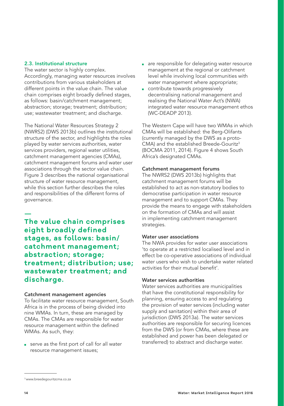#### <span id="page-13-0"></span>2.3. Institutional structure

The water sector is highly complex. Accordingly, managing water resources involves contributions from various stakeholders at different points in the value chain. The value chain comprises eight broadly defined stages, as follows: basin/catchment management; abstraction; storage; treatment; distribution; use; wastewater treatment; and discharge.

The National Water Resources Strategy 2 (NWRS2) (DWS 2013b) outlines the institutional structure of the sector, and highlights the roles played by water services authorities, water services providers, regional water utilities, catchment management agencies (CMAs), catchment management forums and water user associations through the sector value chain. Figure 3 describes the national organisational structure of water resource management, while this section further describes the roles and responsibilities of the different forms of governance.

**— The value chain comprises eight broadly defined stages, as follows: basin/ catchment management; abstraction; storage; treatment; distribution; use; wastewater treatment; and discharge.** 

#### Catchment management agencies

To facilitate water resource management, South Africa is in the process of being divided into nine WMAs. In turn, these are managed by CMAs. The CMAs are responsible for water resource management within the defined WMAs. As such, they:

■ serve as the first port of call for all water resource management issues;

- are responsible for delegating water resource management at the regional or catchment level while involving local communities with water management where appropriate;
- contribute towards progressively decentralising national management and realising the National Water Act's (NWA) integrated water resource management ethos (WC-DEADP 2013).

The Western Cape will have two WMAs in which CMAs will be established: the Berg-Olifants (currently managed by the DWS as a proto- $CMA$ ) and the established Breede-Gouritz<sup>3</sup> (BOCMA 2011, 2014). Figure 4 shows South Africa's designated CMAs.

#### Catchment management forums

The NWRS2 (DWS 2013b) highlights that catchment management forums will be established to act as non-statutory bodies to democratise participation in water resource management and to support CMAs. They provide the means to engage with stakeholders on the formation of CMAs and will assist in implementing catchment management strategies.

#### Water user associations

The NWA provides for water user associations 'to operate at a restricted localised level and in effect be co-operative associations of individual water users who wish to undertake water related activities for their mutual benefit'.

#### Water services authorities

Water services authorities are municipalities that have the constitutional responsibility for planning, ensuring access to and regulating the provision of water services (including water supply and sanitation) within their area of jurisdiction (DWS 2013a). The water services authorities are responsible for securing licences from the DWS (or from CMAs, where these are established and power has been delegated or transferred) to abstract and discharge water.

<sup>3</sup> [www.breedegouritzcma.co.za](http://www.breedegouritzcma.co.za)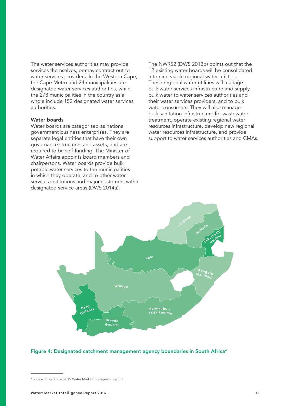The water services authorities may provide services themselves, or may contract out to water services providers. In the Western Cape, the Cape Metro and 24 municipalities are designated water services authorities, while the 278 municipalities in the country as a whole include 152 designated water services authorities.

#### Water boards

Water boards are categorised as national government business enterprises. They are separate legal entities that have their own governance structures and assets, and are required to be self-funding. The Minister of Water Affairs appoints board members and chairpersons. Water boards provide bulk potable water services to the municipalities in which they operate, and to other water services institutions and major customers within designated service areas (DWS 2014a).

The NWRS2 (DWS 2013b) points out that the 12 existing water boards will be consolidated into nine viable regional water utilities. These regional water utilities will manage bulk water services infrastructure and supply bulk water to water services authorities and their water services providers, and to bulk water consumers. They will also manage bulk sanitation infrastructure for wastewater treatment, operate existing regional water resources infrastructure, develop new regional water resources infrastructure, and provide support to water services authorities and CMAs.



#### Figure 4: Designated catchment management agency boundaries in South Africa4

<sup>4</sup> Source: GreenCape 2015 Water Market Intelligence Report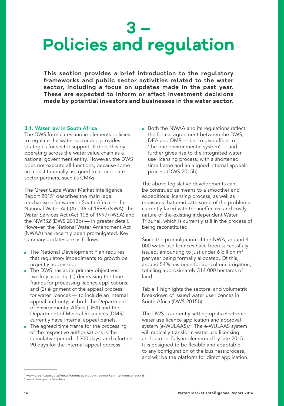## <span id="page-15-0"></span>**3 – Policies and regulation**

**This section provides a brief introduction to the regulatory frameworks and public sector activities related to the water sector, including a focus on updates made in the past year. These are expected to inform or affect investment decisions made by potential investors and businesses in the water sector.** 

#### 3.1. Water law in South Africa

The DWS formulates and implements policies to regulate the water sector and provides strategies for sector support. It does this by operating across the water value chain as a national government entity. However, the DWS does not execute all functions, because some are constitutionally assigned to appropriate sector partners, such as CMAs.

The GreenCape Water Market Intelligence Report 20155 describes the main legal mechanisms for water in South Africa — the National Water Act (Act 36 of 1998) (NWA), the Water Services Act (Act 108 of 1997) (WSA) and the NWRS2 (DWS 2013b) — in greater detail. However, the National Water Amendment Act (NWAA) has recently been promulgated. Key summary updates are as follows:

- The National Development Plan requires that regulatory impediments to growth be urgently addressed.
- The DWS has as its primary objectives two key aspects: (1) decreasing the time frames for processing licence applications; and (2) alignment of the appeal process for water licences — to include an internal appeal authority, as both the Department of Environmental Affairs (DEA) and the Department of Mineral Resources (DMR) currently have internal appeal panels.
- The agreed time frame for the processing of the respective authorisations is the cumulative period of 300 days, and a further 90 days for the internal appeal process.

■ Both the NWAA and its regulations reflect the formal agreement between the DWS, DEA and DMR — i.e. to give effect to 'the one environmental system' — and further gives rise to the integrated water use licensing process, with a shortened time frame and an aligned internal appeals process (DWS 2015b).

The above legislative developments can be construed as means to a smoother and expeditious licensing process, as well as measures that eradicate some of the problems currently faced with the ineffective and costly nature of the existing independent Water Tribunal, which is currently still in the process of being reconstituted.

Since the promulgation of the NWA, around 4 000 water use licences have been successfully issued, amounting to just under 6 billion  $m<sup>3</sup>$ per year being formally allocated. Of this, around 54% has been for agricultural irrigation, totalling approximately 314 000 hectares of land.

Table 1 highlights the sectoral and volumetric breakdown of issued water use licences in South Africa (DWS 2015b).

The DWS is currently setting up its electronic water use licence application and approval system (e-WULAAS).<sup>6</sup> The e-WULAAS system will radically transform water use licensing and is to be fully implemented by late 2015. It is designed to be flexible and adaptable to any configuration of the business process, and will be the platform for direct application.

<sup>5</sup>  [www.greencape.co.za/news/greencape-publishes-market-intelligence-reports](http://www.greencape.co.za/news/greencape-publishes-market-intelligence-reports) 6  [www.dwa.gov.za/ewulaas](http://www.dwa.gov.za/ewulaas)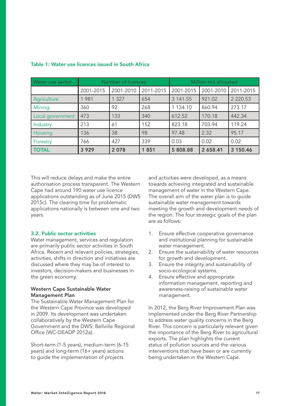| Water use sector |           | Number of licences |           | Million m3 allocated |           |               |  |  |
|------------------|-----------|--------------------|-----------|----------------------|-----------|---------------|--|--|
|                  | 2001-2015 | 2001-2010          | 2011-2015 | 2001-2015            | 2001-2010 | 2011-2015     |  |  |
| Agriculture      | 1981      | 1 3 2 7            | 654       | 3 141.55             | 921.02    | 2 2 2 0 . 5 3 |  |  |
| Mining           | 360       | 92                 | 268       | 1 134.10             | 860.94    | 273.17        |  |  |
| Local government | 473       | 133                | 340       | 612.52               | 170.18    | 442.34        |  |  |
| Industry         | 213       | 61                 | 152       | 823.18               | 703.94    | 119.24        |  |  |
| Housing          | 136       | 38                 | 98        | 97.48                | 2.32      | 95.17         |  |  |
| Forestry         | 766       | 427                | 339       | 0.03                 | 0.02      | 0.02          |  |  |
| <b>TOTAL</b>     | 3 9 2 9   | 2078               | 1851      | 5 808.88             | 2 658.41  | 3 150.46      |  |  |

#### <span id="page-16-0"></span>Table 1: Water use licences issued in South Africa

This will reduce delays and make the entire authorisation process transparent. The Western Cape had around 190 water use licence applications outstanding as of June 2015 (DWS 2015c). The clearing time for problematic applications nationally is between one and two years.

#### 3.2. Public sector activities

Water management, services and regulation are primarily public sector activities in South Africa. Recent and relevant policies, strategies, activities, shifts in direction and initiatives are discussed where they may be of interest to investors, decision-makers and businesses in the green economy.

#### Western Cape Sustainable Water Management Plan

The Sustainable Water Management Plan for the Western Cape Province was developed in 2009. Its development was undertaken collaboratively by the Western Cape Government and the DWS: Bellville Regional Office (WC-DEADP 2012a).

Short-term (1-5 years), medium-term (6-15 years) and long-term (16+ years) actions to guide the implementation of projects

and activities were developed, as a means towards achieving integrated and sustainable management of water in the Western Cape. The overall aim of the water plan is to guide sustainable water management towards meeting the growth and development needs of the region. The four strategic goals of the plan are as follows:

- 1. Ensure effective cooperative governance and institutional planning for sustainable water management.
- 2. Ensure the sustainability of water resources for growth and development.
- 3. Ensure the integrity and sustainability of socio-ecological systems.
- 4. Ensure effective and appropriate information management, reporting and awareness-raising of sustainable water management.

In 2012, the Berg River Improvement Plan was implemented under the Berg River Partnership to address water quality concerns in the Berg River. This concern is particularly relevant given the importance of the Berg River to agricultural exports. The plan highlights the current status of pollution sources and the various interventions that have been or are currently being undertaken in the Western Cape.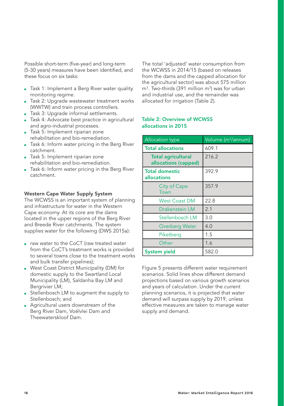<span id="page-17-0"></span>Possible short-term (five-year) and long-term (5-30 years) measures have been identified, and these focus on six tasks:

- Task 1: Implement a Berg River water quality monitoring regime.
- Task 2: Upgrade wastewater treatment works (WWTW) and train process controllers.
- Task 3: Upgrade informal settlements.
- Task 4: Advocate best practice in agricultural and agro-industrial processes.
- Task 5: Implement riparian zone rehabilitation and bio-remediation.
- Task 6: Inform water pricing in the Berg River catchment.
- Task 5: Implement riparian zone rehabilitation and bio-remediation.
- Task 6: Inform water pricing in the Berg River catchment.

#### Western Cape Water Supply System

The WCWSS is an important system of planning and infrastructure for water in the Western Cape economy. At its core are the dams located in the upper regions of the Berg River and Breede River catchments. The system supplies water for the following (DWS 2015a):

- raw water to the CoCT (raw treated water from the CoCT's treatment works is provided to several towns close to the treatment works and bulk transfer pipelines);
- West Coast District Municipality (DM) for domestic supply to the Swartland Local Municipality (LM), Saldanha Bay LM and Bergrivier LM;
- Stellenbosch LM to augment the supply to Stellenbosch; and
- Agricultural users downstream of the Berg River Dam, Voëlvlei Dam and Theewaterskloof Dam.

The total 'adjusted' water consumption from the WCWSS in 2014/15 (based on releases from the dams and the capped allocation for the agricultural sector) was about 575 million  $m<sup>3</sup>$ . Two-thirds (391 million m<sup>3</sup>) was for urban and industrial use, and the remainder was allocated for irrigation (Table 2).

#### Table 2: Overview of WCWSS allocations in 2015

| <b>Allocation type</b>                            | Volume (m <sup>3</sup> /annum) |
|---------------------------------------------------|--------------------------------|
| <b>Total allocations</b>                          | 609.1                          |
| <b>Total agricultural</b><br>allocations (capped) | 216.2                          |
| <b>Total domestic</b><br>allocations              | 392.9                          |
| <b>City of Cape</b><br>Town                       | 357.9                          |
| <b>West Coast DM</b>                              | 22.8                           |
| Drakenstein LM                                    | 2.1                            |
| Stellenbosch LM                                   | 3.0                            |
| Overberg Water                                    | 4.0                            |
| Piketberg                                         | 1.5                            |
| Other                                             | 1.6                            |
| <b>System yield</b>                               | 582.0                          |

Figure 5 presents different water requirement scenarios. Solid lines show different demand projections based on various growth scenarios and years of calculation. Under the current planning scenarios, it is projected that water demand will surpass supply by 2019, unless effective measures are taken to manage water supply and demand.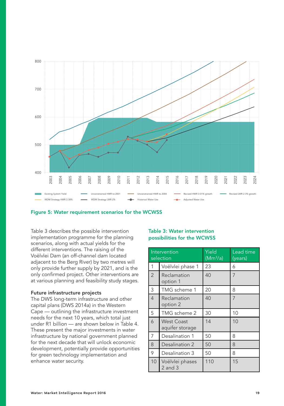<span id="page-18-0"></span>



Table 3 describes the possible intervention implementation programme for the planning scenarios, along with actual yields for the different interventions. The raising of the Voëlvlei Dam (an off-channel dam located adjacent to the Berg River) by two metres will only provide further supply by 2021, and is the only confirmed project. Other interventions are at various planning and feasibility study stages.

#### Future infrastructure projects

The DWS long-term infrastructure and other capital plans (DWS 2014a) in the Western Cape — outlining the infrastructure investment needs for the next 10 years, which total just under R1 billion — are shown below in Table 4. These present the major investments in water infrastructure by national government planned for the next decade that will unlock economic development, potentially provide opportunities for green technology implementation and enhance water security.

#### Table 3: Water intervention possibilities for the WCWSS

|                | Intervention<br>selection            | Yield<br>(Mm <sup>3</sup> /a) | Lead time<br>(years) |  |  |
|----------------|--------------------------------------|-------------------------------|----------------------|--|--|
| 1              | Voëlvlei phase 1                     | 23                            | 6                    |  |  |
| $\overline{2}$ | Reclamation<br>option 1              | 40                            | 7                    |  |  |
| 3              | TMG scheme 1                         | 20                            | 8                    |  |  |
| $\overline{4}$ | Reclamation<br>option 2              | 40                            | $\overline{7}$       |  |  |
| 5              | TMG scheme 2                         | 30                            | 10                   |  |  |
| 6              | <b>West Coast</b><br>aquifer storage | 14                            | 10                   |  |  |
| $\overline{7}$ | Desalination 1                       | 50                            | 8                    |  |  |
| 8              | Desalination 2                       | 50                            | 8                    |  |  |
| 9              | Desalination 3                       | 50                            | 8                    |  |  |
| 10             | Voëlvlei phases<br>$2$ and $3$       | 110                           | 15                   |  |  |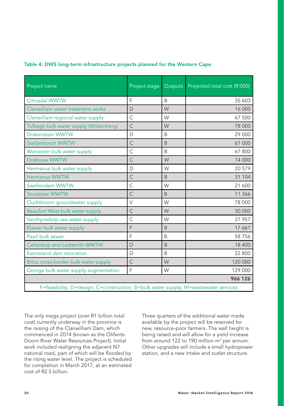| Project name                           | Project stage Outputs |              | Projected total cost (R'000) |
|----------------------------------------|-----------------------|--------------|------------------------------|
|                                        |                       |              |                              |
| Citrusdal WWTW                         | F                     | <sub>B</sub> | 35 603                       |
| Clanwilliam water treatment works      | $\mathsf{D}$          | W            | 16 000                       |
| Clanwilliam regional water supply      | C                     | W            | 67 500                       |
| Tulbagh bulk water supply (Witzenberg) | C                     | W            | 78 000                       |
| Drakenstein WWTW                       | D                     | <sub>B</sub> | 29 000                       |
| Stellenbosch WWTW                      | $\mathsf{C}$          | <sub>B</sub> | 61 000                       |
| Worcester bulk water supply            | C                     | B            | 67 800                       |
| <b>Grabouw WWTW</b>                    | $\mathsf{C}$          | W            | 14 000                       |
| Hermanus bulk water supply             | D                     | W            | 20 579                       |
| <b>Hermanus WWTW</b>                   | C                     | B            | 31 104                       |
| Swellendam WWTW                        | $\mathsf{C}$          | W            | 21 600                       |
| Struisbaai WWTW                        | C                     | B            | 11 366                       |
| Oudtshoorn groundwater supply          | $\vee$                | W            | 78 000                       |
| Beaufort West bulk water supply        | C                     | W            | 30 000                       |
| Vanrhynsdorp raw water supply          | C                     | W            | 37 957                       |
| Klawer bulk water supply               | F                     | <sub>B</sub> | 17 661                       |
| Paarl bulk sewer                       | F                     | B            | 58 7 56                      |
| Calitzdorp and Ladismith WWTW          | $\mathsf{D}$          | B            | 18 400                       |
| Kannaland dam relocation               | D                     | B            | 22 800                       |
| Bitou cross-border bulk water supply   | C                     | W            | 120 000                      |
| George bulk water supply augmentation  | F                     | W            | 129 000                      |

#### <span id="page-19-0"></span>Table 4: DWS long-term infrastructure projects planned for the Western Cape

F=feasibility; D=design; C=construction; B=bulk water supply; W=wastewater services

The only mega project (over R1 billion total cost) currently underway in the province is the raising of the Clanwilliam Dam, which commenced in 2014 (known as the Olifants-Doorn River Water Resources Project). Initial work included realigning the adjacent N7 national road, part of which will be flooded by the rising water level. The project is scheduled for completion in March 2017, at an estimated cost of R2.5 billion.

Three quarters of the additional water made available by the project will be reserved for new, resource-poor farmers. The wall height is being raised and will allow for a yield increase from around 122 to 190 million  $m<sup>3</sup>$  per annum. Other upgrades will include a small hydropower station, and a new intake and outlet structure.

966 126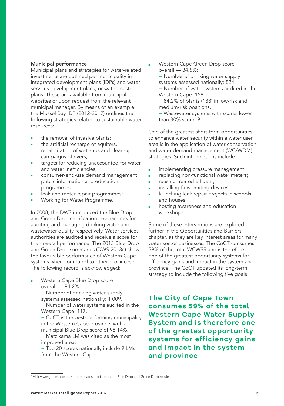#### Municipal performance

Municipal plans and strategies for water-related investments are outlined per municipality in integrated development plans (IDPs) and water services development plans, or water master plans. These are available from municipal websites or upon request from the relevant municipal manager. By means of an example, the Mossel Bay IDP (2012-2017) outlines the following strategies related to sustainable water resources:

- the removal of invasive plants;
- the artificial recharge of aquifers, rehabilitation of wetlands and clean-up campaigns of rivers;
- targets for reducing unaccounted-for water and water inefficiencies;
- consumer/end-use demand management: public information and education programmes;
- leak and meter repair programmes;
- Working for Water Programme.

In 2008, the DWS introduced the Blue Drop and Green Drop certification programmes for auditing and managing drinking water and wastewater quality respectively. Water services authorities are audited and receive a score for their overall performance. The 2013 Blue Drop and Green Drop summaries (DWS 2013c) show the favourable performance of Western Cape systems when compared to other provinces.<sup>7</sup> The following record is acknowledged:

Western Cape Blue Drop score overall — 94.2%:

> − Number of drinking water supply systems assessed nationally: 1 009. − Number of water systems audited in the Western Cape: 117.

− CoCT is the best-performing municipality in the Western Cape province, with a municipal Blue Drop score of 98.14%.

- − Matzikama LM was cited as the most improved area.
- − Top 20 scores nationally include 9 LMs from the Western Cape.

Western Cape Green Drop score overall — 84.5%:

− Number of drinking water supply systems assessed nationally: 824.

− Number of water systems audited in the Western Cape: 158.

− 84.2% of plants (133) in low-risk and medium-risk positions.

− Wastewater systems with scores lower than 30% score: 9.

One of the greatest short-term opportunities to enhance water security within a water user area is in the application of water conservation and water demand management (WC/WDM) strategies. Such interventions include:

- implementing pressure management;
- replacing non-functional water meters;
- reusing treated effluent;
- installing flow-limiting devices;
- launching leak repair projects in schools and houses;
- hosting awareness and education workshops.

Some of these interventions are explored further in the Opportunities and Barriers chapter, as they are key interest areas for many water sector businesses. The CoCT consumes 59% of the total WCWSS and is therefore one of the greatest opportunity systems for efficiency gains and impact in the system and province. The CoCT updated its long-term strategy to include the following five goals:

**— The City of Cape Town consumes 59% of the total Western Cape Water Supply System and is therefore one of the greatest opportunity systems for efficiency gains and impact in the system and province**

<sup>7</sup> Visit [www.greencape.co.za](http://www.green-cape.co.za) for the latest update on the Blue Drop and Green Drop results.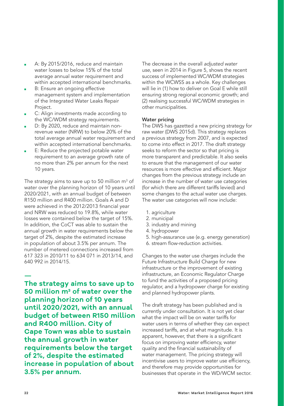- A: By 2015/2016, reduce and maintain water losses to below 15% of the total average annual water requirement and within accepted international benchmarks.
- B: Ensure an ongoing effective management system and implementation of the Integrated Water Leaks Repair Project.
- C: Align investments made according to the WC/WDM strategy requirements.
- D: By 2020, reduce and maintain nonrevenue water (NRW) to below 20% of the total average annual water requirement and within accepted international benchmarks.
- E: Reduce the projected potable water requirement to an average growth rate of no more than 2% per annum for the next 10 years.

The strategy aims to save up to 50 million  $m^3$  of water over the planning horizon of 10 years until 2020/2021, with an annual budget of between R150 million and R400 million. Goals A and D were achieved in the 2012/2013 financial year and NRW was reduced to 19.8%, while water losses were contained below the target of 15%. In addition, the CoCT was able to sustain the annual growth in water requirements below the target of 2%, despite the estimated increase in population of about 3.5% per annum. The number of metered connections increased from 617 323 in 2010/11 to 634 071 in 2013/14, and 640 992 in 2014/15.

**— The strategy aims to save up to 50 million m3 of water over the planning horizon of 10 years until 2020/2021, with an annual budget of between R150 million and R400 million. City of Cape Town was able to sustain the annual growth in water requirements below the target of 2%, despite the estimated increase in population of about 3.5% per annum.**

The decrease in the overall *adjusted water use*, seen in 2014 in Figure 5, shows the recent success of implemented WC/WDM strategies within the WCWSS as a whole. Key challenges will lie in (1) how to deliver on Goal E while still ensuring strong regional economic growth; and (2) realising successful WC/WDM strategies in other municipalities.

#### Water pricing

The DWS has gazetted a new pricing strategy for raw water (DWS 2015d). This strategy replaces a previous strategy from 2007, and is expected to come into effect in 2017. The draft strategy seeks to reform the sector so that pricing is more transparent and predictable. It also seeks to ensure that the management of our water resources is more effective and efficient. Major changes from the previous strategy include an increase in the number of water use categories (for which there are different tariffs levied) and some changes to the actual water use charges. The water use categories will now include:

- 1. agriculture
- 2. municipal
- 3. industry and mining
- 4. hydropower
- 5. high-assurance use (e.g. energy generation)
- 6. stream flow-reduction activities.

Changes to the water use charges include the Future Infrastructure Build Charge for new infrastructure or the improvement of existing infrastructure, an Economic Regulator Charge to fund the activities of a proposed pricing regulator, and a hydropower charge for existing and planned hydropower plants.

The draft strategy has been published and is currently under consultation. It is not yet clear what the impact will be on water tariffs for water users in terms of whether they can expect increased tariffs, and at what magnitude. It is apparent, however, that there is a significant focus on improving water efficiency, water quality and the financial sustainability of water management. The pricing strategy will incentivise users to improve water use efficiency, and therefore may provide opportunities for businesses that operate in the WD/WCM sector.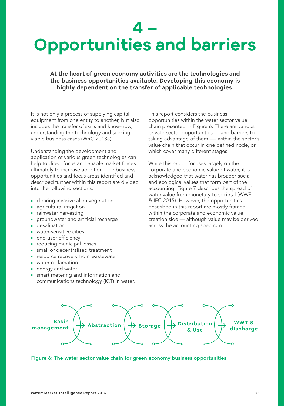## <span id="page-22-0"></span>**4 – Opportunities and barriers**

**At the heart of green economy activities are the technologies and the business opportunities available. Developing this economy is highly dependent on the transfer of applicable technologies.** 

It is not only a process of supplying capital equipment from one entity to another, but also includes the transfer of skills and know-how, understanding the technology and seeking viable business cases (WRC 2013a).

Understanding the development and application of various green technologies can help to direct focus and enable market forces ultimately to increase adoption. The business opportunities and focus areas identified and described further within this report are divided into the following sections:

- clearing invasive alien vegetation
- agricultural irrigation
- rainwater harvesting
- groundwater and artificial recharge
- desalination
- water-sensitive cities
- end-user efficiency
- reducing municipal losses
- small or decentralised treatment
- resource recovery from wastewater
- water reclamation
- energy and water
- smart metering and information and communications technology (ICT) in water.

This report considers the business opportunities within the water sector value chain presented in Figure 6. There are various private sector opportunities — and barriers to taking advantage of them —- within the sector's value chain that occur in one defined node, or which cover many different stages.

While this report focuses largely on the corporate and economic value of water, it is acknowledged that water has broader social and ecological values that form part of the accounting. Figure 7 describes the spread of water value from monetary to societal (WWF & IFC 2015). However, the opportunities described in this report are mostly framed within the corporate and economic value creation side — although value may be derived across the accounting spectrum.



Figure 6: The water sector value chain for green economy business opportunities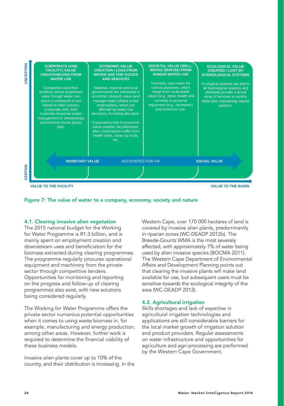<span id="page-23-0"></span>



#### 4.1. Clearing invasive alien vegetation

The 2015 national budget for the Working for Water Programme is R1.3 billion, and is mainly spent on employment creation and downstream uses and beneficiation for the biomass extracted during clearing programmes. The programme regularly procures operational equipment and machinery from the private sector through competitive tenders. Opportunities for monitoring and reporting on the progress and follow-up of clearing programmes also exist, with new solutions being considered regularly.

The Working for Water Programme offers the private sector numerous potential opportunities when it comes to using waste biomass in, for example, manufacturing and energy production, among other areas. However, further work is required to determine the financial viability of these business models.

Invasive alien plants cover up to 10% of the country, and their distribution is increasing. In the Western Cape, over 170 000 hectares of land is covered by invasive alien plants, predominantly in riparian zones (WC-DEADP 2012b). The Breede-Gouritz WMA is the most severely affected, with approximately 7% of water being used by alien invasive species (BOCMA 2011). The Western Cape Department of Environmental Affairs and Development Planning points out that clearing the invasive plants will make land available for use, but subsequent users must be sensitive towards the ecological integrity of the area (WC-DEADP 2013).

#### 4.2. Agricultural irrigation

Skills shortages and lack of expertise in agricultural irrigation technologies and applications are still considerable barriers for the local market growth of irrigation solution and product providers. Regular assessments on water infrastructure and opportunities for agriculture and agri-processing are performed by the Western Cape Government.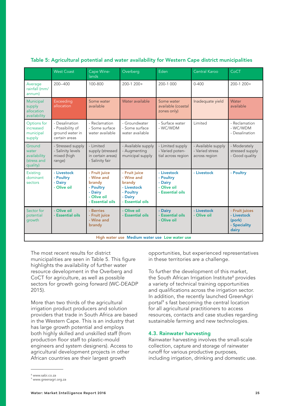|                                                            | <b>West Coast</b>                                                      | Cape Wine-<br>lands                                                                              | Overberg                                                                                         | Eden                                                                   | Central Karoo                                          | CoCT                                                             |
|------------------------------------------------------------|------------------------------------------------------------------------|--------------------------------------------------------------------------------------------------|--------------------------------------------------------------------------------------------------|------------------------------------------------------------------------|--------------------------------------------------------|------------------------------------------------------------------|
| Average<br>rainfall (mm/<br>annum)                         | $200 - 400$                                                            | 100-800                                                                                          | $200-1200+$                                                                                      | 200-1 000                                                              | $0 - 400$                                              | $200-1200+$                                                      |
| Municipal<br>supply<br>allocation<br>availability          | <b>Exceeding</b><br>allocation                                         | Some water<br>available                                                                          | Water available                                                                                  | Some water<br>available (coastal<br>zones only)                        | Inadequate yield                                       | Water<br>available                                               |
| Options for<br>increased<br>municipal<br>supply            | - Desalination<br>- Possibility of<br>ground water in<br>certain areas | - Reclamation<br>- Some surface<br>water available                                               | - Groundwater<br>- Some surface<br>water available                                               | - Surface water<br>- WC/WDM                                            | Limited                                                | - Reclamation<br>- WC/WDM<br>- Desalination                      |
| Ground<br>water<br>availability<br>(stress and<br>quality) | - Stressed supply<br>- Salinity levels<br>mixed (high<br>range)        | - Limited<br>supply (stressed<br>in certain areas)<br>- Salinity fair                            | - Available supply<br>- Augmenting<br>municipal supply                                           | - Limited supply<br>- Varied poten-<br>tial across region              | - Available supply<br>- Varied stress<br>across region | - Moderately<br>stressed supply<br>- Good quality                |
| Existing<br>dominant<br>sectors                            | - Livestock<br>- Poultry<br>- Dairy<br>- Olive oil                     | - Fruit juice<br>- Wine and<br>brandy<br>- Poultry<br>- Dairy<br>- Olive oil<br>- Essential oils | - Fruit juice<br>- Wine and<br>brandy<br>- Livestock<br>- Poultry<br>- Dairv<br>- Essential oils | - Livestock<br>- Poultry<br>- Dairy<br>- Olive oil<br>- Essential oils | - Livestock                                            | - Poultry                                                        |
| Sector for<br>potential<br>growth                          | Olive oil<br>- Essential oils                                          | - Berries<br>- Fruit juice<br>- Wine and<br>brandy                                               | - Olive oil<br>- Essential oils                                                                  | - Dairv<br>- Essential oils<br>- Olive oil                             | - Livestock<br>- Olive oil                             | - Fruit iuices<br>- Livestock<br>(pork)<br>- Speciality<br>dairy |
|                                                            |                                                                        |                                                                                                  | High water use Medium water use Low water use                                                    |                                                                        |                                                        |                                                                  |

### <span id="page-24-0"></span>Table 5: Agricultural potential and water availability for Western Cape district municipalities

The most recent results for district municipalities are seen in Table 5. This figure highlights the availability of further water resource development in the Overberg and CoCT for agriculture, as well as possible sectors for growth going forward (WC-DEADP 2015).

More than two thirds of the agricultural irrigation product producers and solution providers that trade in South Africa are based in the Western Cape. This is an industry that has large growth potential and employs both highly skilled and unskilled staff (from production floor staff to plastic-mould engineers and system designers). Access to agricultural development projects in other African countries are their largest growth

opportunities, but experienced representatives in these territories are a challenge.

To further the development of this market, the South African Irrigation Institute<sup>8</sup> provides a variety of technical training opportunities and qualifications across the irrigation sector. In addition, the recently launched GreenAgri portal<sup>9</sup> s fast becoming the central location for all agricultural practitioners to access resources, contacts and case studies regarding sustainable farming and new technologies.

#### 4.3. Rainwater harvesting

Rainwater harvesting involves the small-scale collection, capture and storage of rainwater runoff for various productive purposes, including irrigation, drinking and domestic use.

<sup>8</sup> [www.sabi.co.za](http://www.sabi.co.za)

<sup>9</sup> [www.greenagri.org.za](http://www.greenagri.org.za)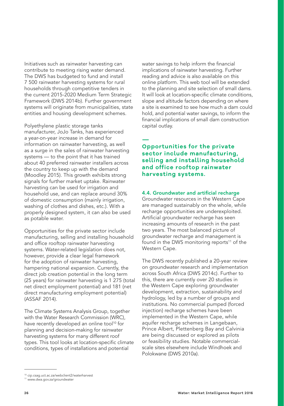<span id="page-25-0"></span>Initiatives such as rainwater harvesting can contribute to meeting rising water demand. The DWS has budgeted to fund and install 7 500 rainwater harvesting systems for rural households through competitive tenders in the current 2015-2020 Medium Term Strategic Framework (DWS 2014b). Further government systems will originate from municipalities, state entities and housing development schemes.

Polyethylene plastic storage tanks manufacturer, JoJo Tanks, has experienced a year-on-year increase in demand for information on rainwater harvesting, as well as a surge in the sales of rainwater harvesting systems — to the point that it has trained about 40 preferred rainwater installers across the country to keep up with the demand (Moodley 2015). This growth exhibits strong signals for further market uptake. Rainwater harvesting can be used for irrigation and household use, and can replace around 30% of domestic consumption (mainly irrigation, washing of clothes and dishes, etc.). With a properly designed system, it can also be used as potable water.

Opportunities for the private sector include manufacturing, selling and installing household and office rooftop rainwater harvesting systems. Water-related legislation does not, however, provide a clear legal framework for the adoption of rainwater harvesting, hampering national expansion. Currently, the direct job creation potential in the long term (25 years) for rainwater harvesting is 1 275 (total net direct employment potential) and 181 (net direct manufacturing employment potential) (ASSAF 2014).

The Climate Systems Analysis Group, together with the Water Research Commission (WRC), have recently developed an online tool<sup>10</sup> for planning and decision-making for rainwater harvesting systems for many different roof types. This tool looks at location-specific climate conditions, types of installations and potential

water savings to help inform the financial implications of rainwater harvesting. Further reading and advice is also available on this online platform. This web tool will be extended to the planning and site selection of small dams. It will look at location-specific climate conditions, slope and altitude factors depending on where a site is examined to see how much a dam could hold, and potential water savings, to inform the financial implications of small dam construction capital outlay.

### **— Opportunities for the private sector include manufacturing, selling and installing household and office rooftop rainwater harvesting systems.**

#### 4.4. Groundwater and artificial recharge

Groundwater resources in the Western Cape are managed sustainably on the whole, while recharge opportunities are underexploited. Artificial groundwater recharge has seen increasing amounts of research in the past two years. The most balanced picture of groundwater recharge and management is found in the DWS monitoring reports<sup>11</sup> of the Western Cape.

The DWS recently published a 20-year review on groundwater research and implementation across South Africa (DWS 2014c). Further to this, there are currently over 20 studies in the Western Cape exploring groundwater development, extraction, sustainability and hydrology, led by a number of groups and institutions. No commercial pumped (forced injection) recharge schemes have been implemented in the Western Cape, while aquifer recharge schemes in Langebaan, Prince Albert, Plettenberg Bay and Calvinia are being discussed or explored as pilots or feasibility studies. Notable commercialscale sites elsewhere include Windhoek and Polokwane (DWS 2010a).

<sup>10</sup> [cip.csag.uct.ac.za/webclient2/waterharvest](http://cip.csag.uct.ac.za/webclient2/waterharvest)

<sup>11</sup> [www.dwa.gov.za/groundwater](http://www.dwa.gov.za/groundwater)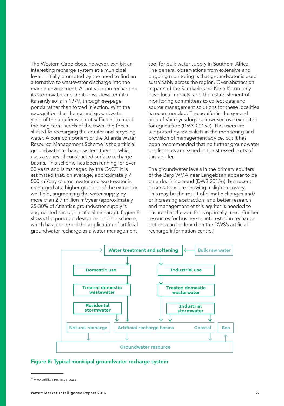<span id="page-26-0"></span>The Western Cape does, however, exhibit an interesting recharge system at a municipal level. Initially prompted by the need to find an alternative to wastewater discharge into the marine environment, Atlantis began recharging its stormwater and treated wastewater into its sandy soils in 1979, through seepage ponds rather than forced injection. With the recognition that the natural groundwater yield of the aquifer was not sufficient to meet the long term needs of the town, the focus shifted to recharging the aquifer and recycling water. A core component of the Atlantis Water Resource Management Scheme is the artificial groundwater recharge system therein, which uses a series of constructed surface recharge basins. This scheme has been running for over 30 years and is managed by the CoCT. It is estimated that, on average, approximately 7 500 m<sup>3</sup>/day of stormwater and wastewater is recharged at a higher gradient of the extraction wellfield, augmenting the water supply by more than 2.7 million m<sup>3</sup>/year (approximately 25-30% of Atlantis's groundwater supply is augmented through artificial recharge). Figure 8 shows the principle design behind the scheme, which has pioneered the application of artificial groundwater recharge as a water management

tool for bulk water supply in Southern Africa. The general observations from extensive and ongoing monitoring is that groundwater is used sustainably across the region. Over-abstraction in parts of the Sandveld and Klein Karoo only have local impacts, and the establishment of monitoring committees to collect data and source management solutions for these localities is recommended. The aquifer in the general area of Vanrhynsdorp is, however, overexploited for agriculture (DWS 2015e). The users are supported by specialists in the monitoring and provision of management advice, but it has been recommended that no further groundwater use licences are issued in the stressed parts of this aquifer.

The groundwater levels in the primary aquifers of the Berg WMA near Langebaan appear to be on a declining trend (DWS 2015e), but recent observations are showing a slight recovery. This may be the result of climatic changes and/ or increasing abstraction, and better research and management of this aquifer is needed to ensure that the aquifer is optimally used. Further resources for businesses interested in recharge options can be found on the DWS's artificial recharge information centre.12





<sup>12</sup> [www.artificialrecharge.co.za](http://www.artificialrecharge.co.za)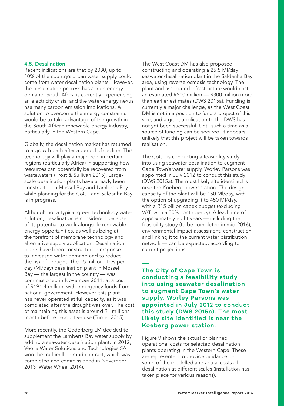#### <span id="page-27-0"></span>4.5. Desalination

Recent indications are that by 2030, up to 10% of the country's urban water supply could come from water desalination plants. However, the desalination process has a high energy demand. South Africa is currently experiencing an electricity crisis, and the water-energy nexus has many carbon emission implications. A solution to overcome the energy constraints would be to take advantage of the growth in the South African renewable energy industry, particularly in the Western Cape.

Globally, the desalination market has returned to a growth path after a period of decline. This technology will play a major role in certain regions (particularly Africa) in supporting how resources can potentially be recovered from wastewaters (Frost & Sullivan 2015). Largescale desalination plants have already been constructed in Mossel Bay and Lamberts Bay, while planning for the CoCT and Saldanha Bay is in progress.

Although not a typical green technology water solution, desalination is considered because of its potential to work alongside renewable energy opportunities, as well as being at the forefront of membrane technology and alternative supply application. Desalination plants have been constructed in response to increased water demand and to reduce the risk of drought. The 15 million litres per day (Ml/day) desalination plant in Mossel Bay — the largest in the country — was commissioned in November 2011, at a cost of R191.4 million, with emergency funds from national government. However, this plant has never operated at full capacity, as it was completed after the drought was over. The cost of maintaining this asset is around R1 million/ month before productive use (Turner 2015).

More recently, the Cederberg LM decided to supplement the Lamberts Bay water supply by adding a seawater desalination plant. In 2012, Veolia Water Solutions and Technologies SA won the multimillion rand contract, which was completed and commissioned in November 2013 (Water Wheel 2014).

The West Coast DM has also proposed constructing and operating a 25.5 Ml/day seawater desalination plant in the Saldanha Bay area, using reverse osmosis technology. The plant and associated infrastructure would cost an estimated R500 million — R300 million more than earlier estimates (DWS 2015a). Funding is currently a major challenge, as the West Coast DM is not in a position to fund a project of this size, and a grant application to the DWS has not yet been successful. Until such a time as a source of funding can be secured, it appears unlikely that this project will be taken towards realisation.

The CoCT is conducting a feasibility study into using seawater desalination to augment Cape Town's water supply. Worley Parsons was appointed in July 2012 to conduct this study (DWS 2015a). The most likely site identified is near the Koeberg power station. The design capacity of the plant will be 150 Ml/day, with the option of upgrading it to 450 Ml/day, with a R15 billion capex budget (excluding VAT, with a 30% contingency). A lead time of approximately eight years — including the feasibility study (to be completed in mid-2016), environmental impact assessment, construction and linking it to the current water distribution network — can be expected, according to current projections.

**— The City of Cape Town is conducting a feasibility study into using seawater desalination to augment Cape Town's water supply. Worley Parsons was appointed in July 2012 to conduct this study (DWS 2015a). The most likely site identified is near the Koeberg power station.**

Figure 9 shows the actual or planned operational costs for selected desalination plants operating in the Western Cape. These are represented to provide guidance on some of the modelled and actual costs of desalination at different scales (installation has taken place for various reasons).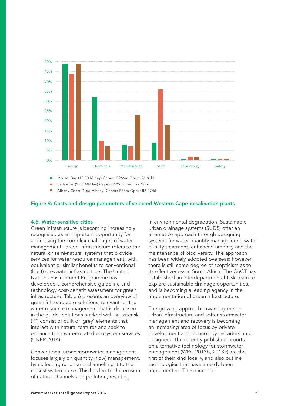<span id="page-28-0"></span>

Mossel Bay (15.00 MIday) Capex: R266m Opex: R6.81kl m.

Sedgefiel (1.50 MI/day) Capex: R22m Opex: R7.16/kl п

П Albany Coast (1.66 MI/day) Capex: R36m Opex: R8.47/kl

#### Figure 9: Costs and design parameters of selected Western Cape desalination plants

#### 4.6. Water-sensitive cities

Green infrastructure is becoming increasingly recognised as an important opportunity for addressing the complex challenges of water management. Green infrastructure refers to the natural or semi-natural systems that provide services for water resource management, with equivalent or similar benefits to conventional (built) greywater infrastructure. The United Nations Environment Programme has developed a comprehensive guideline and technology cost-benefit assessment for green infrastructure. Table 6 presents an overview of green infrastructure solutions, relevant for the water resource management that is discussed in the guide. Solutions marked with an asterisk ('\*') consist of built or 'grey' elements that interact with natural features and seek to enhance their water-related ecosystem services (UNEP 2014).

Conventional urban stormwater management focuses largely on quantity (flow) management, by collecting runoff and channelling it to the closest watercourse. This has led to the erosion of natural channels and pollution, resulting

in environmental degradation. Sustainable urban drainage systems (SUDS) offer an alternative approach through designing systems for water quantity management, water quality treatment, enhanced amenity and the maintenance of biodiversity. The approach has been widely adopted overseas; however, there is still some degree of scepticism as to its effectiveness in South Africa. The CoCT has established an interdepartmental task team to explore sustainable drainage opportunities, and is becoming a leading agency in the implementation of green infrastructure.

The growing approach towards greener urban infrastructure and softer stormwater management and recovery is becoming an increasing area of focus by private development and technology providers and designers. The recently published reports on alternative technology for stormwater management (WRC 2013b, 2013c) are the first of their kind locally, and also outline technologies that have already been implemented. These include: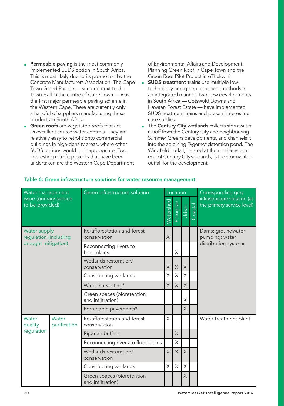- <span id="page-29-0"></span>**Permeable paving** is the most commonly implemented SUDS option in South Africa. This is most likely due to its promotion by the Concrete Manufacturers Association. The Cape Town Grand Parade — situated next to the Town Hall in the centre of Cape Town — was the first major permeable paving scheme in the Western Cape. There are currently only a handful of suppliers manufacturing these products in South Africa.
- **Green roofs** are vegetated roofs that act as excellent source water controls. They are relatively easy to retrofit onto commercial buildings in high-density areas, where other SUDS options would be inappropriate. Two interesting retrofit projects that have been undertaken are the Western Cape Department

of Environmental Affairs and Development Planning Green Roof in Cape Town and the Green Roof Pilot Project in eThekwini.

- **BUDS treatment trains** use multiple lowtechnology and green treatment methods in an integrated manner. Two new developments in South Africa — Cotswold Downs and Hawaan Forest Estate — have implemented SUDS treatment trains and present interesting case studies.
- The Century City wetlands collects stormwater runoff from the Century City and neighbouring Summer Greens developments, and channels it into the adjoining Tygerhof detention pond. The Wingfield outfall, located at the north-eastern end of Century City's bounds, is the stormwater outfall for the development.

| Water management<br>issue (primary service<br>to be provided) |                       | Green infrastructure solution                   |           |           | Location |         | Corresponding grey                                        |
|---------------------------------------------------------------|-----------------------|-------------------------------------------------|-----------|-----------|----------|---------|-----------------------------------------------------------|
|                                                               |                       |                                                 | Watershed | Floorplan | urban    | Coastal | infrastructure solution (at<br>the primary service level) |
| Water supply<br>regulation (including                         |                       | Re/afforestation and forest<br>conservation     | X         |           |          |         | Dams; groundwater<br>pumping; water                       |
| drought mitigation)                                           |                       | Reconnecting rivers to<br>floodplains           |           | X         |          |         | distribution systems                                      |
|                                                               |                       | Wetlands restoration/<br>conservation           | X         | X         | X        |         |                                                           |
|                                                               |                       | Constructing wetlands                           | X         | X         | X        |         |                                                           |
|                                                               |                       | Water harvesting*                               | X         | $\times$  | $\times$ |         |                                                           |
|                                                               |                       | Green spaces (bioretention<br>and infiltration) |           |           | X        |         |                                                           |
|                                                               |                       | Permeable pavements*                            |           |           | X        |         |                                                           |
| Water<br>quality                                              | Water<br>purification | Re/afforestation and forest<br>conservation     | X         |           |          |         | Water treatment plant                                     |
| regulation                                                    |                       | Riparian buffers                                |           | X         |          |         |                                                           |
|                                                               |                       | Reconnecting rivers to floodplains              |           | X         |          |         |                                                           |
|                                                               |                       | Wetlands restoration/<br>conservation           | $\times$  | $\times$  | X        |         |                                                           |
|                                                               |                       | Constructing wetlands                           | X         | X         | X        |         |                                                           |
|                                                               |                       | Green spaces (bioretention<br>and infiltration) |           |           | X        |         |                                                           |

#### Table 6: Green infrastructure solutions for water resource management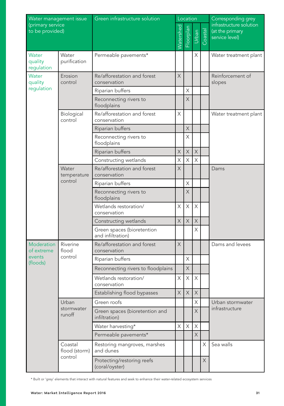| Water management issue<br>(primary service<br>to be provided) |                                 | Green infrastructure solution                   |             | Location                  |                         |         | Corresponding grey                                           |
|---------------------------------------------------------------|---------------------------------|-------------------------------------------------|-------------|---------------------------|-------------------------|---------|--------------------------------------------------------------|
|                                                               |                                 |                                                 |             | Floorplan                 | Urban                   | Coastal | infrastructure solution<br>(at the primary<br>service level) |
| Water<br>quality<br>regulation                                | Water<br>purification           | Permeable pavements*                            |             |                           | Χ                       |         | Water treatment plant                                        |
| Water<br>quality                                              | Erosion<br>control              | Re/afforestation and forest<br>conservation     | X           |                           |                         |         | Reinforcement of<br>slopes                                   |
| regulation                                                    |                                 | Riparian buffers                                |             | X                         |                         |         |                                                              |
|                                                               |                                 | Reconnecting rivers to<br>floodplains           |             | X                         |                         |         |                                                              |
|                                                               | Biological<br>control           | Re/afforestation and forest<br>conservation     | X           |                           |                         |         | Water treatment plant                                        |
|                                                               |                                 | Riparian buffers                                |             | $\mathsf X$               |                         |         |                                                              |
|                                                               |                                 | Reconnecting rivers to<br>floodplains           |             | X                         |                         |         |                                                              |
|                                                               |                                 | Riparian buffers                                | $\times$    | $\mathsf X$               | $\times$                |         |                                                              |
|                                                               |                                 | Constructing wetlands                           | X           | X                         | X                       |         |                                                              |
|                                                               | Water<br>temperature<br>control | Re/afforestation and forest<br>conservation     | X           |                           |                         |         | Dams                                                         |
|                                                               |                                 | Riparian buffers                                |             | Χ                         |                         |         |                                                              |
|                                                               |                                 | Reconnecting rivers to<br>floodplains           |             | $\times$                  |                         |         |                                                              |
|                                                               |                                 | Wetlands restoration/<br>conservation           | X           | $\boldsymbol{\mathsf{X}}$ | X                       |         |                                                              |
|                                                               |                                 | Constructing wetlands                           | $\mathsf X$ | $\mathsf X$               | $\mathsf X$             |         |                                                              |
|                                                               |                                 | Green spaces (bioretention<br>and infiltration) |             |                           | Χ                       |         |                                                              |
| Moderation<br>of extreme                                      | Riverine<br>flood               | Re/afforestation and forest<br>conservation     | X           |                           |                         |         | Dams and levees                                              |
| events<br>(floods)                                            | control                         | Riparian buffers                                |             | X                         |                         |         |                                                              |
|                                                               |                                 | Reconnecting rivers to floodplains              |             | X                         |                         |         |                                                              |
|                                                               |                                 | Wetlands restoration/<br>conservation           | X           | X                         | X                       |         |                                                              |
|                                                               |                                 | Establishing flood bypasses                     | X           | $\mathsf X$               | $\times$                |         |                                                              |
|                                                               | Urban                           | Green roofs                                     |             |                           | X                       |         | Urban stormwater                                             |
|                                                               | stormwater<br>runoff            | Green spaces (bioretention and<br>infiltration) |             |                           | $\overline{\mathsf{X}}$ |         | infrastructure                                               |
|                                                               |                                 | Water harvesting*                               | X           | $\mathsf X$               | X                       |         |                                                              |
|                                                               |                                 | Permeable pavements*                            |             |                           | X                       |         |                                                              |
|                                                               | Coastal<br>flood (storm)        | Restoring mangroves, marshes<br>and dunes       |             |                           |                         | X       | Sea walls                                                    |
|                                                               | control                         | Protecting/restoring reefs<br>(coral/oyster)    |             |                           |                         | X       |                                                              |

\* Built or 'grey' elements that interact with natural features and seek to enhance their water-related ecosystem services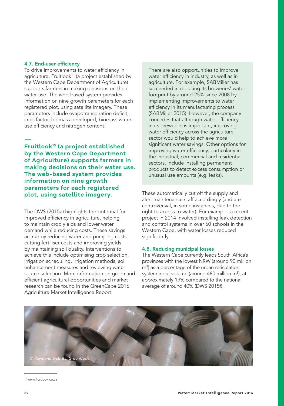#### <span id="page-31-0"></span>4.7. End-user efficiency

To drive improvements to water efficiency in agriculture, Fruitlook<sup>13</sup> (a project established by the Western Cape Department of Agriculture) supports farmers in making decisions on their water use. The web-based system provides information on nine growth parameters for each registered plot, using satellite imagery. These parameters include evapotranspiration deficit, crop factor, biomass developed, biomass wateruse efficiency and nitrogen content.

**— Fruitlook13 (a project established by the Western Cape Department of Agriculture) supports farmers in making decisions on their water use. The web-based system provides information on nine growth parameters for each registered plot, using satellite imagery.**

The DWS (2015a) highlights the potential for improved efficiency in agriculture, helping to maintain crop yields and lower water demand while reducing costs. These savings accrue by reducing water and pumping costs, cutting fertiliser costs and improving yields by maintaining soil quality. Interventions to achieve this include optimising crop selection, irrigation scheduling, irrigation methods, soil enhancement measures and reviewing water source selection. More information on green and efficient agricultural opportunities and market research can be found in the GreenCape 2016 Agriculture Market Intelligence Report.

There are also opportunities to improve water efficiency in industry, as well as in agriculture. For example, SABMiller has succeeded in reducing its breweries' water footprint by around 25% since 2008 by implementing improvements to water efficiency in its manufacturing process (SABMiller 2015). However, the company concedes that although water efficiency in its breweries is important, improving water efficiency across the agriculture sector would help to achieve more significant water savings. Other options for improving water efficiency, particularly in the industrial, commercial and residential sectors, include installing permanent products to detect excess consumption or unusual use amounts (e.g. leaks).

These automatically cut off the supply and alert maintenance staff accordingly (and are controversial, in some instances, due to the right to access to water). For example, a recent project in 2014 involved installing leak detection and control systems in over 60 schools in the Western Cape, with water losses reduced significantly.

#### 4.8. Reducing municipal losses

The Western Cape currently leads South Africa's provinces with the lowest NRW (around 90 million m<sup>3</sup>) as a percentage of the urban reticulation system input volume (around 480 million m<sup>3</sup>), at approximately 19% compared to the national average of around 40% (DWS 2015f).



<sup>13</sup> [www.fruitlook.co.za](http://www.fruitlook.co.za)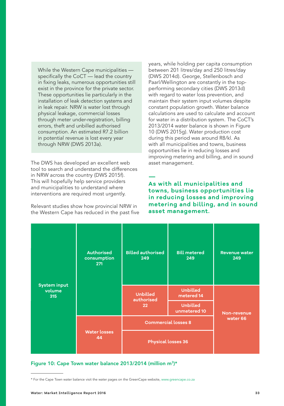<span id="page-32-0"></span>While the Western Cape municipalities specifically the CoCT — lead the country in fixing leaks, numerous opportunities still exist in the province for the private sector. These opportunities lie particularly in the installation of leak detection systems and in leak repair. NRW is water lost through physical leakage, commercial losses through meter under-registration, billing errors, theft and unbilled authorised consumption. An estimated R7.2 billion in potential revenue is lost every year through NRW (DWS 2013a).

The DWS has developed an excellent web tool to search and understand the differences in NRW across the country (DWS 2015f). This will hopefully help service providers and municipalities to understand where interventions are required most urgently.

Relevant studies show how provincial NRW in the Western Cape has reduced in the past five years, while holding per capita consumption between 201 litres/day and 250 litres/day (DWS 2014d). George, Stellenbosch and Paarl/Wellington are constantly in the topperforming secondary cities (DWS 2013d) with regard to water loss prevention, and maintain their system input volumes despite constant population growth. Water balance calculations are used to calculate and account for water in a distribution system. The CoCT's 2013/2014 water balance is shown in Figure 10 (DWS 2015g). Water production cost during this period was around R8/kl. As with all municipalities and towns, business opportunities lie in reducing losses and improving metering and billing, and in sound asset management.

**— As with all municipalities and towns, business opportunities lie in reducing losses and improving metering and billing, and in sound asset management.**

| <b>System input</b><br>volume<br>315 | <b>Authorised</b><br>consumption<br>271 | <b>Billed authorised</b><br>249     | <b>Bill metered</b><br>249      | <b>Revenue water</b><br>249 |  |
|--------------------------------------|-----------------------------------------|-------------------------------------|---------------------------------|-----------------------------|--|
|                                      |                                         | <b>Unbilled</b><br>authorised<br>22 | <b>Unbilled</b><br>metered 14   |                             |  |
|                                      |                                         |                                     | <b>Unbilled</b><br>unmetered 10 | Non-revenue                 |  |
|                                      | <b>Water losses</b><br>44               | <b>Commercial losses 8</b>          | water 66                        |                             |  |
|                                      |                                         | <b>Physical losses 36</b>           |                                 |                             |  |

#### Figure 10: Cape Town water balance 2013/2014 (million m<sup>3</sup>)\*

<sup>\*</sup> For the Cape Town water balance visit the water pages on the GreenCape website, [www.greencape.co.za](http://www.greencape.co.za)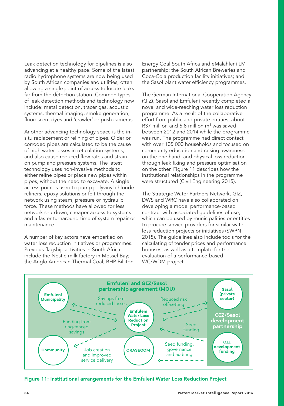<span id="page-33-0"></span>Leak detection technology for pipelines is also advancing at a healthy pace. Some of the latest radio hydrophone systems are now being used by South African companies and utilities, often allowing a single point of access to locate leaks far from the detection station. Common types of leak detection methods and technology now include: metal detection, tracer gas, acoustic systems, thermal imaging, smoke generation, fluorescent dyes and 'crawler' or push cameras.

Another advancing technology space is the insitu replacement or relining of pipes. Older or corroded pipes are calculated to be the cause of high water losses in reticulation systems, and also cause reduced flow rates and strain on pump and pressure systems. The latest technology uses non-invasive methods to either reline pipes or place new pipes within pipes, without the need to excavate. A single access point is used to pump polyvinyl chloride reliners, epoxy solutions or felt through the network using steam, pressure or hydraulic force. These methods have allowed for less network shutdown, cheaper access to systems and a faster turnaround time of system repair or maintenance.

A number of key actors have embarked on water loss reduction initiatives or programmes. Previous flagship activities in South Africa include the Nestlé milk factory in Mossel Bay; the Anglo American Thermal Coal, BHP Billiton Energy Coal South Africa and eMalahleni LM partnership; the South African Breweries and Coca-Cola production facility initiatives; and the Sasol plant water efficiency programmes.

The German International Cooperation Agency (GIZ), Sasol and Emfuleni recently completed a novel and wide-reaching water loss reduction programme. As a result of the collaborative effort from public and private entities, about R37 million and 6.8 million  $m<sup>3</sup>$  was saved between 2012 and 2014 while the programme was run. The programme had direct contact with over 105 000 households and focused on community education and raising awareness on the one hand, and physical loss reduction through leak fixing and pressure optimisation on the other. Figure 11 describes how the institutional relationships in the programme were structured (Civil Engineering 2015).

The Strategic Water Partners Network, GIZ, DWS and WRC have also collaborated on developing a model performance-based contract with associated guidelines of use, which can be used by municipalities or entities to procure service providers for similar water loss reduction projects or initiatives (SWPN 2015). The guidelines also include tools for the calculating of tender prices and performance bonuses, as well as a template for the evaluation of a performance-based WC/WDM project.



Figure 11: Institutional arrangements for the Emfuleni Water Loss Reduction Project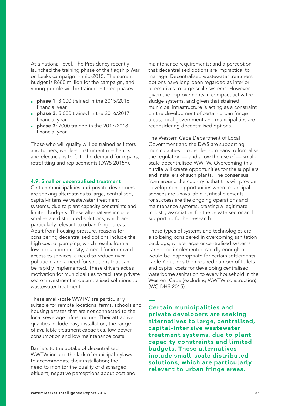<span id="page-34-0"></span>At a national level, The Presidency recently launched the training phase of the flagship War on Leaks campaign in mid-2015. The current budget is R680 million for the campaign, and young people will be trained in three phases:

- **phase 1:** 3 000 trained in the 2015/2016 financial year
- phase 2: 5 000 trained in the 2016/2017 financial year
- **phase 3:** 7000 trained in the 2017/2018 financial year.

Those who will qualify will be trained as fitters and turners, welders, instrument mechanics and electricians to fulfil the demand for repairs, retrofitting and replacements (DWS 2015h).

#### 4.9. Small or decentralised treatment

Certain municipalities and private developers are seeking alternatives to large, centralised, capital-intensive wastewater treatment systems, due to plant capacity constraints and limited budgets. These alternatives include small-scale distributed solutions, which are particularly relevant to urban fringe areas. Apart from housing pressure, reasons for considering decentralised options include the high cost of pumping, which results from a low population density; a need for improved access to services; a need to reduce river pollution; and a need for solutions that can be rapidly implemented. These drivers act as motivation for municipalities to facilitate private sector investment in decentralised solutions to wastewater treatment.

These small-scale WWTW are particularly suitable for remote locations, farms, schools and housing estates that are not connected to the local sewerage infrastructure. Their attractive qualities include easy installation, the range of available treatment capacities, low power consumption and low maintenance costs.

Barriers to the uptake of decentralised WWTW include the lack of municipal bylaws to accommodate their installation; the need to monitor the quality of discharged effluent; negative perceptions about cost and maintenance requirements; and a perception that decentralised options are impractical to manage. Decentralised wastewater treatment options have long been regarded as inferior alternatives to large-scale systems. However, given the improvements in compact activated sludge systems, and given that strained municipal infrastructure is acting as a constraint on the development of certain urban fringe areas, local government and municipalities are reconsidering decentralised options.

The Western Cape Department of Local Government and the DWS are supporting municipalities in considering means to formalise the regulation — and allow the use of — smallscale decentralised WWTW. Overcoming this hurdle will create opportunities for the suppliers and installers of such plants. The consensus from around the country is that this will provide development opportunities where municipal services are unavailable. Critical elements for success are the ongoing operations and maintenance systems, creating a legitimate industry association for the private sector and supporting further research.

These types of systems and technologies are also being considered in overcoming sanitation backlogs, where large or centralised systems cannot be implemented rapidly enough or would be inappropriate for certain settlements. Table 7 outlines the required number of toilets and capital costs for developing centralised, waterborne sanitation to every household in the Western Cape (excluding WWTW construction) (WC-DHS 2015).

**— Certain municipalities and private developers are seeking alternatives to large, centralised, capital-intensive wastewater treatment systems, due to plant capacity constraints and limited budgets. These alternatives include small-scale distributed solutions, which are particularly relevant to urban fringe areas.**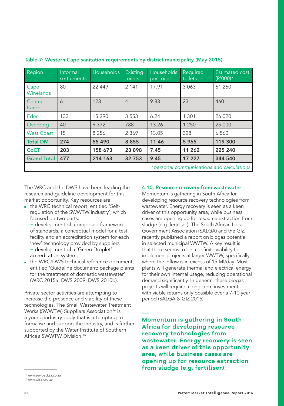| Region                                    | Informal<br>settlements | Households | Existing<br>toilets | Households<br>per toilet | Required<br>toilets | Estimated cost<br>$(R'000)*$ |
|-------------------------------------------|-------------------------|------------|---------------------|--------------------------|---------------------|------------------------------|
| Cape<br><b>Winelands</b>                  | 80                      | 22 449     | 2 1 4 1             | 17.91                    | 3 0 6 3             | 61 260                       |
| Central<br>Karoo                          | 6                       | 123        | $\overline{4}$      | 9.83                     | 23                  | 460                          |
| Eden                                      | 133                     | 15 2 9 0   | 3 5 5 3             | 6.24                     | 1 3 0 1             | 26 0 20                      |
| Overberg                                  | 40                      | 9 3 7 2    | 788                 | 13.26                    | 1 2 5 0             | 25 000                       |
| <b>West Coast</b>                         | 15                      | 8 2 5 6    | 2 3 6 9             | 13.05                    | 328                 | 6 5 6 0                      |
| <b>Total DM</b>                           | 274                     | 55 4 9 0   | 8 8 5 5             | 11.46                    | 5 9 6 5             | 119 300                      |
| <b>CoCT</b>                               | 203                     | 158 673    | 23898               | 7.45                     | 11 262              | 225 240                      |
| <b>Grand Total</b>                        | 477                     | 214 163    | 32753               | 9.45                     | 17 227              | 344 540                      |
| *personal communications and calculations |                         |            |                     |                          |                     |                              |

<span id="page-35-0"></span>Table 7: Western Cape sanitation requirements by district municipality (May 2015)

The WRC and the DWS have been leading the research and guideline development for this market opportunity. Key resources are:

■ the WRC technical report, entitled 'Selfregulation of the SWWTW industry', which focused on two parts:

− development of a proposed framework of standards, a conceptual model for a test facility and an accreditation system for each 'new' technology provided by suppliers − development of a 'Green Droplet'

accreditation system;

■ the WRC/DWS technical reference document. entitled 'Guideline document: package plants for the treatment of domestic wastewater' (WRC 2015a, DWS 2009, DWS 2010b).

Private sector activities are attempting to increase the presence and viability of these technologies. The Small Wastewater Treatment Works (SWWTW) Suppliers Association<sup>14</sup> is a young industry body that is attempting to formalise and support the industry, and is further supported by the Water Institute of Southern Africa's SWWTW Division<sup>15</sup>

#### 4.10. Resource recovery from wastewater

Momentum is gathering in South Africa for developing resource recovery technologies from wastewater. Energy recovery is seen as a keen driver of this opportunity area, while business cases are opening up for resource extraction from sludge (e.g. fertiliser). The South African Local Government Association (SALGA) and the GIZ recently published a report on biogas potential in selected municipal WWTW. A key result is that there seems to be a definite viability to implement projects at larger WWTW, specifically where the inflow is in excess of 15 Ml/day. Most plants will generate thermal and electrical energy for their own internal usage, reducing operational demand significantly. In general, these biogas projects will require a long-term investment, with viable returns only possible over a 7-10 year period (SALGA & GIZ 2015).

**— Momentum is gathering in South Africa for developing resource recovery technologies from wastewater. Energy recovery is seen as a keen driver of this opportunity area, while business cases are opening up for resource extraction from sludge (e.g. fertiliser).**

<sup>14</sup> [www.sewpacksa.co.za](http://www.sewpacksa.co.za)

<sup>15</sup> [www.wisa.org.za](http://www.wisa.org.za)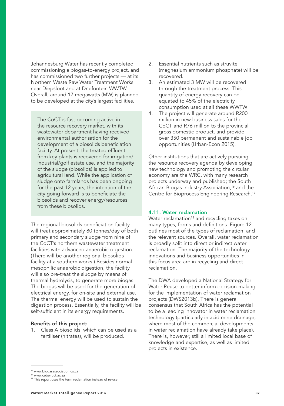<span id="page-36-0"></span>Johannesburg Water has recently completed commissioning a biogas-to-energy project, and has commissioned two further projects — at its Northern Waste Raw Water Treatment Works near Diepsloot and at Driefontein WWTW. Overall, around 17 megawatts (MW) is planned to be developed at the city's largest facilities.

The CoCT is fast becoming active in the resource recovery market, with its wastewater department having received environmental authorisation for the development of a biosolids beneficiation facility. At present, the treated effluent from key plants is recovered for irrigation/ industrial/golf estate use, and the majority of the sludge (biosolids) is applied to agricultural land. While the application of sludge onto farmlands has been ongoing for the past 12 years, the intention of the city going forward is to beneficiate the biosolids and recover energy/resources from these biosolids.

The regional biosolids beneficiation facility will treat approximately 80 tonnes/day of both primary and secondary sludge from nine of the CoCT's northern wastewater treatment facilities with advanced anaerobic digestion. (There will be another regional biosolids facility at a southern works.) Besides normal mesophilic anaerobic digestion, the facility will also pre-treat the sludge by means of thermal hydrolysis, to generate more biogas. The biogas will be used for the generation of electrical energy, for on-site and external use. The thermal energy will be used to sustain the digestion process. Essentially, the facility will be self-sufficient in its energy requirements.

#### Benefits of this project:

1. Class A biosolids, which can be used as a fertiliser (nitrates), will be produced.

- 2. Essential nutrients such as struvite (magnesium ammonium phosphate) will be recovered.
- 3. An estimated 3 MW will be recovered through the treatment process. This quantity of energy recovery can be equated to 45% of the electricity consumption used at all these WWTW
- 4. The project will generate around R200 million in new business sales for the CoCT and R76 million to the provincial gross domestic product, and provide over 350 permanent and sustainable job opportunities (Urban-Econ 2015).

Other institutions that are actively pursuing the resource recovery agenda by developing new technology and promoting the circular economy are the WRC, with many research projects underway and published; the South African Biogas Industry Association;<sup>16</sup> and the Centre for Bioprocess Engineering Research.17

#### 4.11. Water reclamation

Water reclamation<sup>18</sup> and recycling takes on many types, forms and definitions. Figure 12 outlines most of the types of reclamation, and the relevant sources. Overall, water reclamation is broadly split into direct or indirect water reclamation. The majority of the technology innovations and business opportunities in this focus area are in recycling and direct reclamation.

The DWA developed a National Strategy for Water Reuse to better inform decision-making for the implementation of water reclamation projects (DWS2013b). There is general consensus that South Africa has the potential to be a leading innovator in water reclamation technology (particularly in acid mine drainage, where most of the commercial developments in water reclamation have already take place). There is, however, still a limited local base of knowledge and expertise, as well as limited projects in existence.

<sup>16</sup> [www.biogasassociation.co.za](http://www.biogasassociation.co.za)

<sup>&</sup>lt;sup>17</sup> [www.ceber.uct.ac.za](http://www.ceber.uct.ac.za)<br><sup>18</sup> This report uses the term reclamation instead of re-use.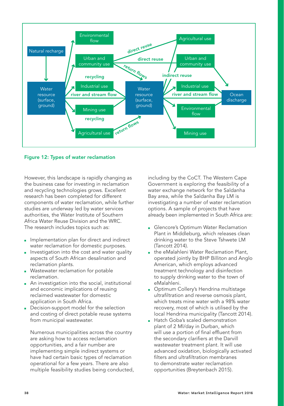<span id="page-37-0"></span>

Figure 12: Types of water reclamation

However, this landscape is rapidly changing as the business case for investing in reclamation and recycling technologies grows. Excellent research has been completed for different components of water reclamation, while further studies are underway led by water services authorities, the Water Institute of Southern Africa Water Reuse Division and the WRC. The research includes topics such as:

- Implementation plan for direct and indirect water reclamation for domestic purposes.
- Investigation into the cost and water quality aspects of South African desalination and reclamation plants.
- Wastewater reclamation for potable reclamation.
- An investigation into the social, institutional and economic implications of reusing reclaimed wastewater for domestic application in South Africa.
- Decision-support model for the selection and costing of direct potable reuse systems from municipal wastewater.

Numerous municipalities across the country are asking how to access reclamation opportunities, and a fair number are implementing simple indirect systems or have had certain basic types of reclamation operational for a few years. There are also multiple feasibility studies being conducted, including by the CoCT. The Western Cape Government is exploring the feasibility of a water exchange network for the Saldanha Bay area, while the Saldanha Bay LM is investigating a number of water reclamation options. A sample of projects that have already been implemented in South Africa are:

- Glencore's Optimum Water Reclamation Plant in Middleburg, which releases clean drinking water to the Steve Tshwete LM (Tancott 2014).
- the eMalahleni Water Reclamation Plant, operated jointly by BHP Billiton and Anglo American, which employs advanced treatment technology and disinfection to supply drinking water to the town of eMalahleni.
- Optimum Collery's Hendrina multistage ultrafiltration and reverse osmosis plant, which treats mine water with a 98% water recovery, most of which is utilised by the local Hendrina municipality (Tancott 2014).
- Hatch Goba's scaled demonstration plant of 2 Ml/day in Durban, which will use a portion of final effluent from the secondary clarifiers at the Darvill wastewater treatment plant. It will use advanced oxidation, biologically activated filters and ultrafiltration membranes to demonstrate water reclamation opportunities (Breytenbach 2015).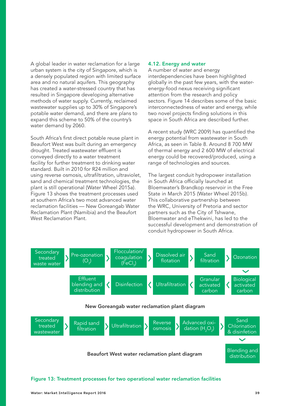<span id="page-38-0"></span>A global leader in water reclamation for a large urban system is the city of Singapore, which is a densely populated region with limited surface area and no natural aquifers. This geography has created a water-stressed country that has resulted in Singapore developing alternative methods of water supply. Currently, reclaimed wastewater supplies up to 30% of Singapore's potable water demand, and there are plans to expand this scheme to 50% of the country's water demand by 2060.

South Africa's first direct potable reuse plant in Beaufort West was built during an emergency drought. Treated wastewater effluent is conveyed directly to a water treatment facility for further treatment to drinking water standard. Built in 2010 for R24 million and using reverse osmosis, ultrafiltration, ultraviolet, sand and chemical treatment technologies, the plant is still operational (Water Wheel 2015a). Figure 13 shows the treatment processes used at southern Africa's two most advanced water reclamation facilities — New Goreangab Water Reclamation Plant (Namibia) and the Beaufort West Reclamation Plant.

#### 4.12. Energy and water

A number of water and energy interdependencies have been highlighted globally in the past few years, with the waterenergy-food nexus receiving significant attention from the research and policy sectors. Figure 14 describes some of the basic interconnectedness of water and energy, while two novel projects finding solutions in this space in South Africa are described further.

A recent study (WRC 2009) has quantified the energy potential from wastewater in South Africa, as seen in Table 8. Around 8 700 MW of thermal energy and 2 600 MW of electrical energy could be recovered/produced, using a range of technologies and sources.

The largest conduit hydropower installation in South Africa officially launched at Bloemwater's Brandkop reservoir in the Free State in March 2015 (Water Wheel 2015b). This collaborative partnership between the WRC, University of Pretoria and sector partners such as the City of Tshwane, Bloemwater and eThekwini, has led to the successful development and demonstration of conduit hydropower in South Africa.



#### Figure 13: Treatment processes for two operational water reclamation facilities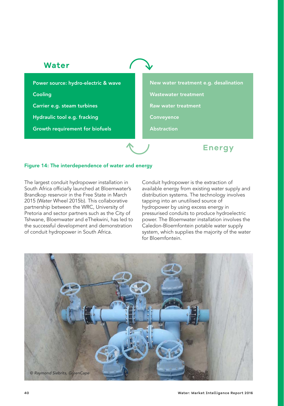### <span id="page-39-0"></span>**Water**

Power source: hydro-electric & wave Cooling Carrier e.g. steam turbines Hydraulic tool e.g. fracking Growth requirement for biofuels

New water treatment e.g. desalination Wastewater treatment Raw water treatment **Conveyence** Abstraction

**Energy**

#### Figure 14: The interdependence of water and energy

The largest conduit hydropower installation in South Africa officially launched at Bloemwater's Brandkop reservoir in the Free State in March 2015 (Water Wheel 2015b). This collaborative partnership between the WRC, University of Pretoria and sector partners such as the City of Tshwane, Bloemwater and eThekwini, has led to the successful development and demonstration of conduit hydropower in South Africa.

Conduit hydropower is the extraction of available energy from existing water supply and distribution systems. The technology involves tapping into an unutilised source of hydropower by using excess energy in pressurised conduits to produce hydroelectric power. The Bloemwater installation involves the Caledon-Bloemfontein potable water supply system, which supplies the majority of the water for Bloemfontein.

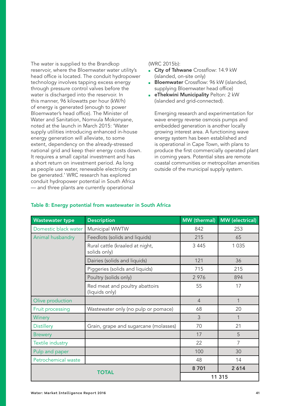<span id="page-40-0"></span>The water is supplied to the Brandkop reservoir, where the Bloemwater water utility's head office is located. The conduit hydropower technology involves tapping excess energy through pressure control valves before the water is discharged into the reservoir. In this manner, 96 kilowatts per hour (kW/h) of energy is generated (enough to power Bloemwater's head office). The Minister of Water and Sanitation, Nomvula Mokonyane, noted at the launch in March 2015: 'Water supply utilities introducing enhanced in-house energy generation will alleviate, to some extent, dependency on the already-stressed national grid and keep their energy costs down. It requires a small capital investment and has a short return on investment period. As long as people use water, renewable electricity can be generated.' WRC research has explored conduit hydropower potential in South Africa — and three plants are currently operational

#### (WRC 2015b):

- **City of Tshwane** Crossflow: 14.9 kW (islanded, on-site only)
- **Bloemwater** Crossflow: 96 kW (islanded, supplying Bloemwater head office)
- **eThekwini Municipality Pelton: 2 kW** (islanded and grid-connected).

Emerging research and experimentation for wave energy reverse osmosis pumps and embedded generation is another locally growing interest area. A functioning wave energy system has been established and is operational in Cape Town, with plans to produce the first commercially operated plant in coming years. Potential sites are remote coastal communities or metropolitan amenities outside of the municipal supply system.

| <b>Wastewater type</b>  | <b>Description</b>                               | MW (thermal)   | <b>MW</b> (electrical) |  |
|-------------------------|--------------------------------------------------|----------------|------------------------|--|
| Domestic black water    | Municipal WWTW                                   | 842            | 253                    |  |
| Animal husbandry        | Feedlots (solids and liquids)                    | 215            | 65                     |  |
|                         | Rural cattle (kraaled at night,<br>solids only)  | 3 4 4 5        | 1 0 3 5                |  |
|                         | Dairies (solids and liquids)                     | 121            | 36                     |  |
|                         | Piggeries (solids and liquids)                   | 715            | 215                    |  |
|                         | Poultry (solids only)                            | 2976           | 894                    |  |
|                         | Red meat and poultry abattoirs<br>(liquids only) | 55             | 17                     |  |
| Olive production        |                                                  | $\overline{4}$ | 1                      |  |
| Fruit processing        | Wastewater only (no pulp or pomace)              | 68             | 20                     |  |
| Winery                  |                                                  | 3              | $\mathbf{1}$           |  |
| <b>Distillery</b>       | Grain, grape and sugarcane (molasses)            | 70             | 21                     |  |
| <b>Brewery</b>          |                                                  | 17             | 5                      |  |
| <b>Textile industry</b> |                                                  | 22             | 7                      |  |
| Pulp and paper          |                                                  | 100            | 30                     |  |
| Petrochemical waste     |                                                  | 48             | 14                     |  |
|                         | 8701                                             | 2614           |                        |  |
| TOTAL                   |                                                  | 11 315         |                        |  |

#### Table 8: Energy potential from wastewater in South Africa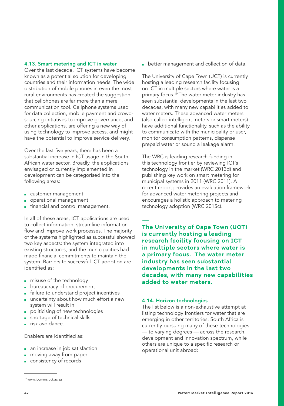#### <span id="page-41-0"></span>4.13. Smart metering and ICT in water

Over the last decade, ICT systems have become known as a potential solution for developing countries and their information needs. The wide distribution of mobile phones in even the most rural environments has created the suggestion that cellphones are far more than a mere communication tool. Cellphone systems used for data collection, mobile payment and crowdsourcing initiatives to improve governance, and other applications, are offering a new way of using technology to improve access, and might have the potential to improve service delivery.

Over the last five years, there has been a substantial increase in ICT usage in the South African water sector. Broadly, the applications envisaged or currently implemented in development can be categorised into the following areas:

- customer management
- operational management
- **financial and control management.**

In all of these areas, ICT applications are used to collect information, streamline information flow and improve work processes. The majority of the systems highlighted as successful showed two key aspects: the system integrated into existing structures, and the municipalities had made financial commitments to maintain the system. Barriers to successful ICT adoption are identified as:

- misuse of the technology
- bureaucracy of procurement
- failure to understand project incentives
- uncertainty about how much effort a new system will result in
- politicising of new technologies
- shortage of technical skills
- risk avoidance.

Enablers are identified as:

- an increase in job satisfaction
- moving away from paper
- consistency of records

■ better management and collection of data.

The University of Cape Town (UCT) is currently hosting a leading research facility focusing on ICT in multiple sectors where water is a primary focus.19 The water meter industry has seen substantial developments in the last two decades, with many new capabilities added to water meters. These advanced water meters (also called intelligent meters or smart meters) have additional functionality, such as the ability to communicate with the municipality or user, monitor consumption patterns, dispense prepaid water or sound a leakage alarm.

The WRC is leading research funding in this technology frontier by reviewing ICT's technology in the market (WRC 2013d) and publishing key work on smart metering for municipal systems in 2011 (WRC 2011). A recent report provides an evaluation framework for advanced water metering projects and encourages a holistic approach to metering technology adoption (WRC 2015c).

**— The University of Cape Town (UCT) is currently hosting a leading research facility focusing on ICT in multiple sectors where water is a primary focus. The water meter industry has seen substantial developments in the last two decades, with many new capabilities added to water meters.**

#### 4.14. Horizon technologies

The list below is a non-exhaustive attempt at listing technology frontiers for water that are emerging in other territories. South Africa is currently pursuing many of these technologies — to varying degrees — across the research, development and innovation spectrum, while others are unique to a specific research or operational unit abroad:

<sup>19</sup> www.icomms.[uct](http://breedegouritzcma.co.za/content.php?page=Documents&subpage=Governance).ac.za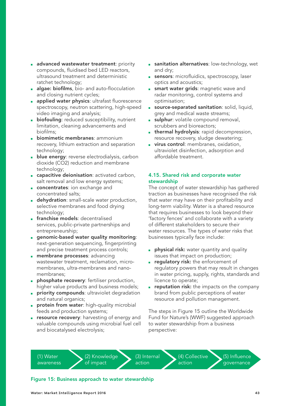- <span id="page-42-0"></span>**a** advanced wastewater treatment: priority compounds, fluidised bed LED reactors, ultrasound treatment and deterministic ratchet technology;
- algae: biofilms, bio- and auto-flocculation and closing nutrient cycles;
- applied water physics: ultrafast fluorescence spectroscopy, neutron scattering, high-speed video imaging and analysis;
- **biofouling**: reduced susceptibility, nutrient limitation, cleaning advancements and biofilms;
- **biomimetic membranes: ammonium** recovery, lithium extraction and separation technology;
- **blue energy:** reverse electrodialysis, carbon dioxide (CO2) reduction and membrane technology;
- capacitive deionisation: activated carbon, salt removal and low energy systems;
- **concentrates:** ion exchange and concentrated salts;
- **dehydration**: small-scale water production, selective membranes and food drying technology;
- **franchise models:** decentralised services, public-private partnerships and entrepreneurship;
- genomic-based water quality monitoring: next-generation sequencing, fingerprinting and precise treatment process controls;
- **n membrane processes**: advancing wastewater treatment, reclamation, micromembranes, ultra-membranes and nanomembranes;
- **phosphate recovery**: fertiliser production, higher value products and business models;
- **priority compounds:** ultraviolet degradation and natural organics;
- **protein from water:** high-quality microbial feeds and production systems;
- **Exercise recovery:** harvesting of energy and valuable compounds using microbial fuel cell and biocatalysed electrolysis;
- **B** sanitation alternatives: low-technology, wet and dry;
- sensors: microfluidics, spectroscopy, laser optics and acoustics;
- **B** smart water grids: magnetic wave and radar monitoring, control systems and optimisation;
- source-separated sanitation: solid, liquid, grey and medical waste streams;
- **sulphur**: volatile compound removal, scrubbers and bioreactors;
- **thermal hydrolysis:** rapid decompression, resource recovery, sludge dewatering;
- **u** virus control: membranes, oxidation, ultraviolet disinfection, adsorption and affordable treatment.

#### 4.15. Shared risk and corporate water stewardship

The concept of water stewardship has gathered traction as businesses have recognised the risk that water may have on their profitability and long-term viability. Water is a shared resource that requires businesses to look beyond their 'factory fences' and collaborate with a variety of different stakeholders to secure their water resources. The types of water risks that businesses typically face include:

- **physical risk:** water quantity and quality issues that impact on production;
- **· regulatory risk:** the enforcement of regulatory powers that may result in changes in water pricing, supply, rights, standards and licence to operate;
- reputation risk: the impacts on the company brand from public perceptions of water resource and pollution management.

The steps in Figure 15 outline the Worldwide Fund for Nature's (WWF) suggested approach to water stewardship from a business perspective:

(1) Water awareness (2) Knowledge of impact

(3) Internal action

(4) Collective action

(5) Influence governance

#### Figure 15: Business approach to water stewardship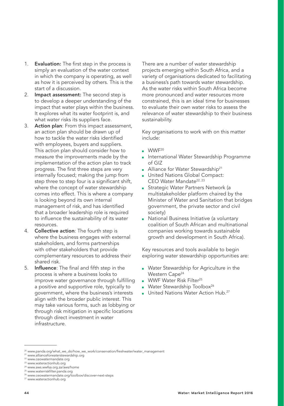- 1. **Evaluation:** The first step in the process is simply an evaluation of the water context in which the company is operating, as well as how it is perceived by others. This is the start of a discussion.
- 2. Impact assessment: The second step is to develop a deeper understanding of the impact that water plays within the business. It explores what its water footprint is, and what water risks its suppliers face.
- 3. Action plan: From this impact assessment, an action plan should be drawn up of how to tackle the water risks identified with employees, buyers and suppliers. This action plan should consider how to measure the improvements made by the implementation of the action plan to track progress. The first three steps are very internally focused; making the jump from step three to step four is a significant shift, where the concept of water stewardship comes into effect. This is where a company is looking beyond its own internal management of risk, and has identified that a broader leadership role is required to influence the sustainability of its water resources.
- 4. **Collective action:** The fourth step is where the business engages with external stakeholders, and forms partnerships with other stakeholders that provide complementary resources to address their shared risk.
- 5. Influence: The final and fifth step in the process is where a business looks to improve water governance through fulfilling a positive and supportive role, typically to government, where the business's interests align with the broader public interest. This may take various forms, such as lobbying or through risk mitigation in specific locations through direct investment in water infrastructure.

There are a number of water stewardship projects emerging within South Africa, and a variety of organisations dedicated to facilitating a business's path towards water stewardship. As the water risks within South Africa become more pronounced and water resources more constrained, this is an ideal time for businesses to evaluate their own water risks to assess the relevance of water stewardship to their business sustainability.

Key organisations to work with on this matter include:

- WWF<sup>20</sup>
- International Water Stewardship Programme of GIZ
- Alliance for Water Stewardship<sup>21</sup>
- United Nations Global Compact: CEO Water Mandate<sup>22, 23</sup>
- Strategic Water Partners Network (a multistakeholder platform chaired by the Minister of Water and Sanitation that bridges government, the private sector and civil society)
- National Business Initiative (a voluntary coalition of South African and multinational companies working towards sustainable growth and development in South Africa).

Key resources and tools available to begin exploring water stewardship opportunities are:

- Water Stewardship for Agriculture in the Western Cape<sup>24</sup>
- WWF Water Risk Filter<sup>25</sup>
- Water Stewardship Toolbox<sup>26</sup>
- United Nations Water Action Hub.<sup>27</sup>

<sup>20</sup> [www.panda.org/what\\_we\\_do/how\\_we\\_work/conservation/freshwater/water\\_management](http://www.panda.org/what_we_do/how_we_work/conservation/freshwater/water_management)

<sup>21</sup> [www.allianceforwaterstewardship.org](http://www.allianceforwaterstewardship.org)

<sup>22</sup> [www.ceowatermandate.org](http://www.ceowatermandate.org)

<sup>23</sup> [www.wateractionhub.org](http://www.wateractionhub.org)

<sup>24</sup> www.aws.wwfsa.org.za/aws/home

<sup>&</sup>lt;sup>25</sup> [www.waterriskfilter.panda.org](http://www.waterriskfilter.panda.org)<br><sup>26</sup> [www.ceowatermandate.org/toolbox/discover-next-steps](http://www.ceowatermandate.org/toolbox/discover-next-steps)

<sup>27</sup> [www.wateractionhub.org](http://www.wateractionhub.org)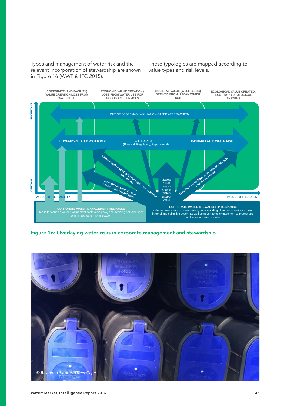<span id="page-44-0"></span>Types and management of water risk and the relevant incorporation of stewardship are shown in Figure 16 (WWF & IFC 2015).

These typologies are mapped according to value types and risk levels.



Figure 16: Overlaying water risks in corporate management and stewardship

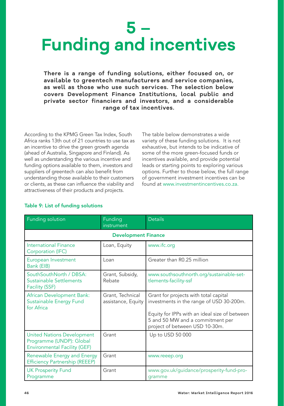## <span id="page-45-0"></span>**5 – Funding and incentives**

**There is a range of funding solutions, either focused on, or available to greentech manufacturers and service companies, as well as those who use such services. The selection below covers Development Finance Institutions, local public and private sector financiers and investors, and a considerable range of tax incentives.** 

According to the KPMG Green Tax Index, South Africa ranks 13th out of 21 countries to use tax as an incentive to drive the green growth agenda (ahead of Australia, Singapore and Finland). As well as understanding the various incentive and funding options available to them, investors and suppliers of greentech can also benefit from understanding those available to their customers or clients, as these can influence the viability and attractiveness of their products and projects.

The table below demonstrates a wide variety of these funding solutions. It is not exhaustive, but intends to be indicative of some of the more green-focused funds or incentives available, and provide potential leads or starting points to exploring various options. Further to those below, the full range of government investment incentives can be found at [www.investmentincentives.co.za.](http://www.investmentincentives.co.za.)

| Funding solution                                                                                     | Funding<br>instrument                  | <b>Details</b>                                                                                                                                                                                           |  |
|------------------------------------------------------------------------------------------------------|----------------------------------------|----------------------------------------------------------------------------------------------------------------------------------------------------------------------------------------------------------|--|
| <b>Development Finance</b>                                                                           |                                        |                                                                                                                                                                                                          |  |
| International Finance<br>Corporation (IFC)                                                           | Loan, Equity                           | www.ifc.org                                                                                                                                                                                              |  |
| European Investment<br>Bank (EIB)                                                                    | Loan                                   | Greater than R0.25 million                                                                                                                                                                               |  |
| SouthSouthNorth / DBSA:<br>Sustainable Settlements<br>Facility (SSF)                                 | Grant, Subsidy,<br>Rebate              | www.southsouthnorth.org/sustainable-set-<br>tlements-facility-ssf                                                                                                                                        |  |
| African Development Bank:<br>Sustainable Energy Fund<br>for Africa                                   | Grant, Technical<br>assistance, Equity | Grant for projects with total capital<br>investments in the range of USD 30-200m.<br>Equity for IPPs with an ideal size of between<br>5 and 50 MW and a commitment per<br>project of between USD 10-30m. |  |
| <b>United Nations Development</b><br>Programme (UNDP): Global<br><b>Environmental Facility (GEF)</b> | Grant                                  | Up to USD 50 000                                                                                                                                                                                         |  |
| Renewable Energy and Energy<br><b>Efficiency Partnership (REEEP)</b>                                 | Grant                                  | www.reeep.org                                                                                                                                                                                            |  |
| <b>UK Prosperity Fund</b><br>Programme                                                               | Grant                                  | www.gov.uk/guidance/prosperity-fund-pro-<br>gramme                                                                                                                                                       |  |

### Table 9: List of funding solutions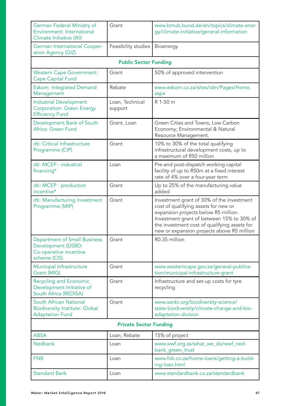| German Federal Ministry of<br>Grant<br>Environment: International<br>Climate Initiative (IKI)       |                            | www.bmub.bund.de/en/topics/climate-ener-<br>gy/climate-initiative/general-information                                                                                                                                                                                |  |
|-----------------------------------------------------------------------------------------------------|----------------------------|----------------------------------------------------------------------------------------------------------------------------------------------------------------------------------------------------------------------------------------------------------------------|--|
| German International Cooper-<br>ation Agency (GIZ)                                                  | Feasibility studies        | <b>Bioenergy</b>                                                                                                                                                                                                                                                     |  |
| <b>Public Sector Funding</b>                                                                        |                            |                                                                                                                                                                                                                                                                      |  |
| <b>Western Cape Government:</b><br><b>Cape Capital Fund</b>                                         | Grant                      | 50% of approved intervention                                                                                                                                                                                                                                         |  |
| <b>Eskom: Integrated Demand</b><br>Management                                                       | Rebate                     | www.eskom.co.za/sites/idm/Pages/Home.<br>aspx                                                                                                                                                                                                                        |  |
| <b>Industrial Development</b><br><b>Corporation: Green Energy</b><br><b>Efficiency Fund</b>         | Loan, Technical<br>support | R 1-50 m                                                                                                                                                                                                                                                             |  |
| Development Bank of South<br>Africa: Green Fund                                                     | Grant, Loan                | Green Cities and Towns; Low Carbon<br>Economy; Environmental & Natural<br>Resource Management.                                                                                                                                                                       |  |
| dti: Critical Infrastructure<br>Programme (CIP)                                                     | Grant                      | 10% to 30% of the total qualifying<br>infrastructural development costs, up to<br>a maximum of R50 million                                                                                                                                                           |  |
| dti: MCEP - industrial<br>financing*                                                                | Loan                       | Pre-and post-dispatch working capital<br>facility of up to R50m at a fixed interest<br>rate of 4% over a four-year term                                                                                                                                              |  |
| dti: MCEP - production<br>incentive*                                                                | Grant                      | Up to 25% of the manufacturing value<br>added                                                                                                                                                                                                                        |  |
| dti: Manufacturing Investment<br>Programme (MIP)                                                    | Grant                      | Investment grant of 30% of the investment<br>cost of qualifying assets for new or<br>expansion projects below R5 million.<br>Investment grant of between 15% to 30% of<br>the investment cost of qualifying assets for<br>new or expansion projects above R5 million |  |
| <b>Department of Small Business</b><br>Development (DSBD:<br>Co-operative incentive<br>scheme (CIS) | Grant                      | R0.35 million                                                                                                                                                                                                                                                        |  |
| Municipal Infrastructure<br>Grant (MIG)                                                             | Grant                      | www.westerncape.gov.za/general-publica-<br>tion/municipal-infrastructure-grant                                                                                                                                                                                       |  |
| <b>Recycling and Economic</b><br>Development Initiative of<br>South Africa (REDISA)                 | Grant                      | Infrastructure and set-up costs for tyre<br>recycling                                                                                                                                                                                                                |  |
| South African National<br><b>Biodiversity Institute: Global</b><br><b>Adaptation Fund</b>           | Grant                      | www.sanbi.org/biodiversity-science/<br>state-biodiversity/climate-change-and-bio-<br>adaptation-division                                                                                                                                                             |  |
| <b>Private Sector Funding</b>                                                                       |                            |                                                                                                                                                                                                                                                                      |  |
| <b>ABSA</b>                                                                                         | Loan, Rebate               | 15% of project                                                                                                                                                                                                                                                       |  |
| Nedbank                                                                                             | Loan                       | www.wwf.org.za/what_we_do/wwf_ned-<br>bank_green_trust                                                                                                                                                                                                               |  |
| <b>FNB</b>                                                                                          | Loan                       | www.fnb.co.za/home-loans/getting-a-build-<br>ing-loan.html                                                                                                                                                                                                           |  |
| <b>Standard Bank</b>                                                                                | Loan                       | www.standardbank.co.za/standardbank                                                                                                                                                                                                                                  |  |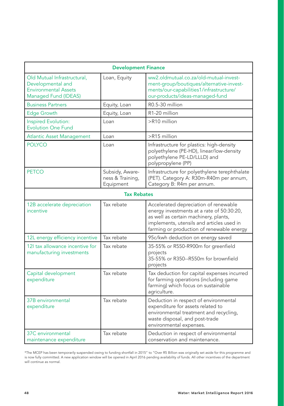| <b>Development Finance</b>                                                                              |                                                  |                                                                                                                                                                                                                       |  |  |
|---------------------------------------------------------------------------------------------------------|--------------------------------------------------|-----------------------------------------------------------------------------------------------------------------------------------------------------------------------------------------------------------------------|--|--|
| Old Mutual Infrastructural,<br>Developmental and<br><b>Environmental Assets</b><br>Managed Fund (IDEAS) | Loan, Equity                                     | ww2.oldmutual.co.za/old-mutual-invest-<br>ment-group/boutiques/alternative-invest-<br>ments/our-capabilities1/infrastructure/<br>our-products/ideas-managed-fund                                                      |  |  |
| <b>Business Partners</b>                                                                                | Equity, Loan                                     | R0.5-30 million                                                                                                                                                                                                       |  |  |
| <b>Edge Growth</b>                                                                                      | Equity, Loan                                     | R1-20 million                                                                                                                                                                                                         |  |  |
| Inspired Evolution:<br><b>Evolution One Fund</b>                                                        | Loan                                             | >R10 million                                                                                                                                                                                                          |  |  |
| <b>Atlantic Asset Management</b>                                                                        | Loan                                             | >R15 million                                                                                                                                                                                                          |  |  |
| <b>POLYCO</b>                                                                                           | Loan                                             | Infrastructure for plastics: high-density<br>polyethylene (PE-HD), linear/low-density<br>polyethylene PE-LD/LLLD) and<br>polypropylene (PP)                                                                           |  |  |
| <b>PETCO</b>                                                                                            | Subsidy, Aware-<br>ness & Training,<br>Equipment | Infrastructure for polyethylene terephthalate<br>(PET). Category A: R30m-R40m per annum,<br>Category B: R4m per annum.                                                                                                |  |  |
|                                                                                                         | <b>Tax Rebates</b>                               |                                                                                                                                                                                                                       |  |  |
| 12B accelerate depreciation<br>incentive                                                                | Tax rebate                                       | Accelerated depreciation of renewable<br>energy investments at a rate of 50:30:20,<br>as well as certain machinery, plants,<br>implements, utensils and articles used in<br>farming or production of renewable energy |  |  |
| 12L energy efficiency incentive                                                                         | Tax rebate                                       | 95c/kwh deduction on energy saved                                                                                                                                                                                     |  |  |
| 12I tax allowance incentive for<br>manufacturing investments                                            | Tax rebate                                       | 35-55% or R550-R900m for greenfield<br>projects<br>35-55% or R350--R550m for brownfield<br>projects                                                                                                                   |  |  |
| Capital development<br>expenditure                                                                      | Tax rebate                                       | Tax deduction for capital expenses incurred<br>for farming operations (including game<br>farming) which focus on sustainable<br>agriculture.                                                                          |  |  |
| 37B environmental<br>expenditure                                                                        | Tax rebate                                       | Deduction in respect of environmental<br>expenditure for assets related to<br>environmental treatment and recycling,<br>waste disposal, and post-trade<br>environmental expenses.                                     |  |  |
| 37C environmental<br>maintenance expenditure                                                            | Tax rebate                                       | Deduction in respect of environmental<br>conservation and maintenance.                                                                                                                                                |  |  |

\*The MCEP has been temporarily suspended owing to funding shortfall in 2015" to "Over R5 Billion was originally set aside for this programme and<br>is now fully committed. A new application window will be opened in April 2016 will continue as normal.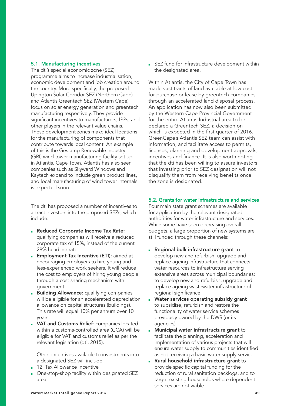#### <span id="page-48-0"></span>5.1. Manufacturing incentives

The dti's special economic zone (SEZ) programme aims to increase industrialisation, economic development and job creation around the country. More specifically, the proposed Upington Solar Corridor SEZ (Northern Cape) and Atlantis Greentech SEZ (Western Cape) focus on solar energy generation and greentech manufacturing respectively. They provide significant incentives to manufacturers, IPPs, and other players in the relevant value chains. These development zones make ideal locations for the manufacturing of components that contribute towards local content. An example of this is the Gestamp Renewable Industry (GRI) wind tower manufacturing facility set up in Atlantis, Cape Town. Atlantis has also seen companies such as Skyward Windows and Kaytech expand to include green product lines, and local manufacturing of wind tower internals is expected soon.

The dti has proposed a number of incentives to attract investors into the proposed SEZs, which include:

- Reduced Corporate Income Tax Rate: qualifying companies will receive a reduced corporate tax of 15%, instead of the current 28% headline rate.
- **Employment Tax Incentive (ETI):** aimed at encouraging employers to hire young and less-experienced work seekers. It will reduce the cost to employers of hiring young people through a cost sharing mechanism with government.
- **Building Allowance:** qualifying companies will be eligible for an accelerated depreciation allowance on capital structures (buildings). This rate will equal 10% per annum over 10 years.
- **VAT and Customs Relief:** companies located within a customs-controlled area (CCA) will be eligible for VAT and customs relief as per the relevant legislation (dti, 2015).

Other incentives available to investments into a designated SEZ will include:

- 12I Tax Allowance Incentive
- One-stop-shop facility within designated SEZ area

■ SEZ fund for infrastructure development within the designated area.

Within Atlantis, the City of Cape Town has made vast tracts of land available at low cost for purchase or lease by greentech companies through an accelerated land disposal process. An application has now also been submitted by the Western Cape Provincial Government for the entire Atlantis Industrial area to be declared a Greentech SEZ, a decision on which is expected in the first quarter of 2016. GreenCape's Atlantis SEZ team can assist with information, and facilitate access to permits, licenses, planning and development approvals, incentives and finance. It is also worth noting that the dti has been willing to assure investors that investing prior to SEZ designation will not disqualify them from receiving benefits once the zone is designated.

#### 5.2. Grants for water infrastructure and services

Four main state grant schemes are available for application by the relevant designated authorities for water infrastructure and services. While some have seen decreasing overall budgets, a large proportion of new systems are still funded through these channels:

- Regional bulk infrastructure grant to develop new and refurbish, upgrade and replace ageing infrastructure that connects water resources to infrastructure serving extensive areas across municipal boundaries; to develop new and refurbish, upgrade and replace ageing wastewater infrastructure of regional significance.
- Water services operating subsidy grant to subsidise, refurbish and restore the functionality of water service schemes previously owned by the DWS (or its agencies).
- Municipal water infrastructure grant to facilitate the planning, acceleration and implementation of various projects that will ensure water supply to communities identified as not receiving a basic water supply service.
- Rural household infrastructure grant to provide specific capital funding for the reduction of rural sanitation backlogs, and to target existing households where dependent services are not viable.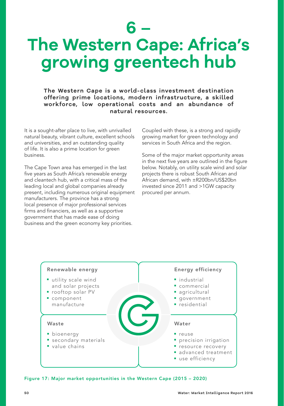### <span id="page-49-0"></span>**6 – The Western Cape: Africa's growing greentech hub**

**The Western Cape is a world-class investment destination offering prime locations, modern infrastructure, a skilled workforce, low operational costs and an abundance of natural resources.** 

It is a sought-after place to live, with unrivalled natural beauty, vibrant culture, excellent schools and universities, and an outstanding quality of life. It is also a prime location for green business.

The Cape Town area has emerged in the last five years as South Africa's renewable energy and cleantech hub, with a critical mass of the leading local and global companies already present, including numerous original equipment manufacturers. The province has a strong local presence of major professional services firms and financiers, as well as a supportive government that has made ease of doing business and the green economy key priorities.

Coupled with these, is a strong and rapidly growing market for green technology and services in South Africa and the region.

Some of the major market opportunity areas in the next five years are outlined in the figure below. Notably, on utility scale wind and solar projects there is robust South African and African demand, with ±R200bn/US\$20bn invested since 2011 and >1GW capacity procured per annum.



Figure 17: Major market opportunities in the Western Cape (2015 – 2020)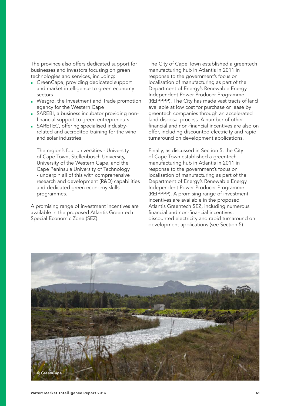The province also offers dedicated support for businesses and investors focusing on green technologies and services, including:

- GreenCape, providing dedicated support and market intelligence to green economy sectors
- Wesgro, the Investment and Trade promotion agency for the Western Cape
- SAREBI, a business incubator providing nonfinancial support to green entrepreneurs
- SARETEC, offering specialised industryrelated and accredited training for the wind and solar industries

The region's four universities - University of Cape Town, Stellenbosch University, University of the Western Cape, and the Cape Peninsula University of Technology - underpin all of this with comprehensive research and development (R&D) capabilities and dedicated green economy skills programmes.

A promising range of investment incentives are available in the proposed Atlantis Greentech Special Economic Zone (SEZ).

The City of Cape Town established a greentech manufacturing hub in Atlantis in 2011 in response to the government's focus on localisation of manufacturing as part of the Department of Energy's Renewable Energy Independent Power Producer Programme (REIPPPP). The City has made vast tracts of land available at low cost for purchase or lease by greentech companies through an accelerated land disposal process. A number of other financial and non-financial incentives are also on offer, including discounted electricity and rapid turnaround on development applications.

Finally, as discussed in Section 5, the City of Cape Town established a greentech manufacturing hub in Atlantis in 2011 in response to the government's focus on localisation of manufacturing as part of the Department of Energy's Renewable Energy Independent Power Producer Programme (REIPPPP). A promising range of investment incentives are available in the proposed Atlantis Greentech SEZ, including numerous financial and non-financial incentives, discounted electricity and rapid turnaround on development applications (see Section 5).

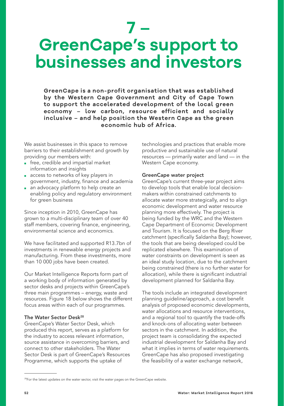### <span id="page-51-0"></span>**7 – GreenCape's support to businesses and investors**

**GreenCape is a non-profit organisation that was established by the Western Cape Government and City of Cape Town to support the accelerated development of the local green economy – low carbon, resource efficient and socially inclusive – and help position the Western Cape as the green economic hub of Africa.**

We assist businesses in this space to remove barriers to their establishment and growth by providing our members with:

- free, credible and impartial market information and insights
- access to networks of key players in government, industry, finance and academia
- an advocacy platform to help create an enabling policy and regulatory environment for green business

Since inception in 2010, GreenCape has grown to a multi-disciplinary team of over 40 staff members, covering finance, engineering, environmental science and economics.

We have facilitated and supported R13.7bn of investments in renewable energy projects and manufacturing. From these investments, more than 10 000 jobs have been created.

Our Market Intelligence Reports form part of a working body of information generated by sector desks and projects within GreenCape's three main programmes – energy, waste and resources. Figure 18 below shows the different focus areas within each of our programmes.

#### The Water Sector Desk<sup>28</sup>

GreenCape's Water Sector Desk, which produced this report, serves as a platform for the industry to access relevant information, source assistance in overcoming barriers, and connect to other stakeholders. The Water Sector Desk is part of GreenCape's Resources Programme, which supports the uptake of

technologies and practices that enable more productive and sustainable use of natural resources — primarily water and land — in the Western Cape economy.

#### GreenCape water project

GreenCape's current three-year project aims to develop tools that enable local decisionmakers within constrained catchments to allocate water more strategically, and to align economic development and water resource planning more effectively. The project is being funded by the WRC and the Western Cape Department of Economic Development and Tourism. It is focused on the Berg River catchment (specifically Saldanha Bay); however, the tools that are being developed could be replicated elsewhere. This examination of water constraints on development is seen as an ideal study location, due to the catchment being constrained (there is no further water for allocation), while there is significant industrial development planned for Saldanha Bay.

The tools include an integrated development planning guideline/approach, a cost benefit analysis of proposed economic developments, water allocations and resource interventions, and a regional tool to quantify the trade-offs and knock-ons of allocating water between sectors in the catchment. In addition, the project team is consolidating the expected industrial development for Saldanha Bay and what it implies in terms of water requirements. GreenCape has also proposed investigating the feasibility of a water exchange network,

<sup>&</sup>lt;sup>28</sup>For the latest updates on the water sector, visit the water pages on the GreenCape website.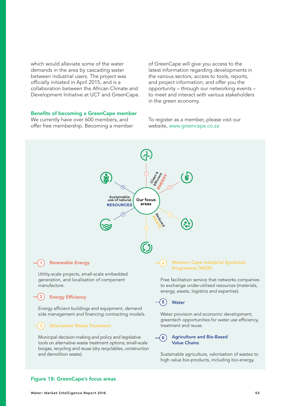<span id="page-52-0"></span>which would alleviate some of the water demands in the area by cascading water between industrial users. The project was officially initiated in April 2015, and is a collaboration between the African Climate and Development Initiative at UCT and GreenCape.

#### Benefits of becoming a GreenCape member

We currently have over 600 members, and offer free membership. Becoming a member of GreenCape will give you access to the latest information regarding developments in the various sectors; access to tools, reports, and project information; and offer you the opportunity – through our networking events – to meet and interact with various stakeholders in the green economy.

To register as a member, please visit our website, [www.greencape.co.za](http://www.greencape.co.za)



#### Renewable Energy **1**

Utility-scale projects, small-scale embedded generation, and localisation of component manufacture.

#### Energy Efficiency **2**

Energy efficient buildings and equipment, demand side management and financing contracting models.

#### Alternative Waste Treatment **3**

Municipal decision-making and policy and legislative tools on alternative waste treatment options; small-scale biogas, recycling and reuse (dry recyclables, construction and demolition waste).

#### Western Cape Industrial Symbiosis Programme (WISP)

Free facilitation service that networks companies to exchange under-utilised resources (materials, energy, assets, logistics and expertise).

#### **Water 5**

**4**

Water provision and economic development; greentech opportunities for water use efficiency, treatment and reuse.

#### Agriculture and Bio-Based Value Chains **6**

Sustainable agriculture, valorisation of wastes to high value bio-products, including bio-energy.

#### Figure 18: GreenCape's focus areas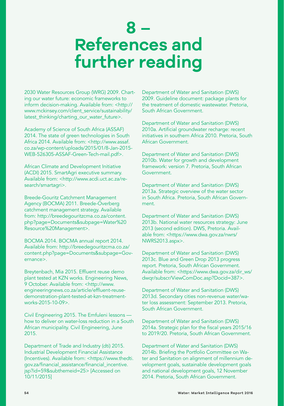### <span id="page-53-0"></span>**8 – References and further reading**

2030 Water Resources Group (WRG) 2009. Charting our water future: economic frameworks to inform decision-making. Available from: <[http://](http://www.mckinsey.com/client_service/sustainability/latest_thinking/charting_our_water_future) [www.mckinsey.com/client\\_service/sustainability/](http://www.mckinsey.com/client_service/sustainability/latest_thinking/charting_our_water_future) latest thinking/charting our water future>.

Academy of Science of South Africa (ASSAF) 2014. The state of green technologies in South Africa 2014. Available from: [<http://www.assaf.](http://www.assaf.co.za/wp-content/uploads/2015/01/8-Jan-2015-WEB-526305-ASSAF-Green-Tech-mail.pdf) [co.za/wp-content/uploads/2015/01/8-Jan-2015-](http://www.assaf.co.za/wp-content/uploads/2015/01/8-Jan-2015-WEB-526305-ASSAF-Green-Tech-mail.pdf) [WEB-526305-ASSAF-Green-Tech-mail.pdf](http://www.assaf.co.za/wp-content/uploads/2015/01/8-Jan-2015-WEB-526305-ASSAF-Green-Tech-mail.pdf)>.

African Climate and Development Initiative (ACDI) 2015. SmartAgri executive summary. Available from: <[http://www.acdi.uct.ac.za/re](http://www.acdi.uct.ac.za/research/smartagri)[search/smartagri>](http://www.acdi.uct.ac.za/research/smartagri).

Breede-Gouritz Catchment Management Agency (BOCMA) 2011. Breede-Overberg catchment management strategy. Available from: [http://breedegouritzcma.co.za/content.](http://breedegouritzcma.co.za/content.php?page=Documents&subpage=Water%20Resource%20Management) [php?page=Documents&subpage=Water%20](http://breedegouritzcma.co.za/content.php?page=Documents&subpage=Water%20Resource%20Management) [Resource%20Management](http://breedegouritzcma.co.za/content.php?page=Documents&subpage=Water%20Resource%20Management)>.

BOCMA 2014. BOCMA annual report 2014. Available from: [http://breedegouritzcma.co.za/](http://breedegouritzcma.co.za/content.php?page=Documents&subpage=Governance) [content.php?page=Documents&subpage=Gov](http://breedegouritzcma.co.za/content.php?page=Documents&subpage=Governance)[ernance](http://breedegouritzcma.co.za/content.php?page=Documents&subpage=Governance)>.

Breytenbach, Mia 2015. Effluent reuse demo plant tested at KZN works. Engineering News, 9 October. Available from: [<http://www.](http://www.engineeringnews.co.za/article/effluent-reuse-demonstration-plant-tested-at-kzn-treatment-works-2015-10-09) [engineeringnews.co.za/article/effluent-reuse](http://www.engineeringnews.co.za/article/effluent-reuse-demonstration-plant-tested-at-kzn-treatment-works-2015-10-09)[demonstration-plant-tested-at-kzn-treatment](http://www.engineeringnews.co.za/article/effluent-reuse-demonstration-plant-tested-at-kzn-treatment-works-2015-10-09)[works-2015-10-09](http://www.engineeringnews.co.za/article/effluent-reuse-demonstration-plant-tested-at-kzn-treatment-works-2015-10-09)>.

Civil Engineering 2015. The Emfuleni lessons how to deliver on water-loss reduction in a South African municipality. Civil Engineering, June 2015.

Department of Trade and Industry (dti) 2015. Industrial Development Financial Assistance (Incentives). Available from: [<https://www.thedti.](https://www.thedti.gov.za/financial_assistance/financial_incentive.jsp?id=59&subthemeid=25) [gov.za/financial\\_assistance/financial\\_incentive.](https://www.thedti.gov.za/financial_assistance/financial_incentive.jsp?id=59&subthemeid=25) [jsp?id=59&subthemeid=25>](https://www.thedti.gov.za/financial_assistance/financial_incentive.jsp?id=59&subthemeid=25) [Accessed on 10/11/2015]

Department of Water and Sanitation (DWS) 2009. Guideline document: package plants for the treatment of domestic wastewater. Pretoria, South African Government.

Department of Water and Sanitation (DWS) 2010a. Artificial groundwater recharge: recent initiatives in southern Africa 2010. Pretoria, South African Government.

Department of Water and Sanitation (DWS) 2010b. Water for growth and development framework: version 7. Pretoria, South African Government.

Department of Water and Sanitation (DWS) 2013a. Strategic overview of the water sector in South Africa. Pretoria, South African Government.

Department of Water and Sanitation (DWS) 2013b. National water resources strategy: June 2013 (second edition). DWS, Pretoria. Available from: <[https://www.dwa.gov.za/nwrs/](https://www.dwa.gov.za/nwrs/NWRS2013.aspx) [NWRS2013.aspx>](https://www.dwa.gov.za/nwrs/NWRS2013.aspx).

Department of Water and Sanitation (DWS) 2013c. Blue and Green Drop 2013 progress report. Pretoria, South African Government. Available from: <[https://www.dwa.gov.za/dir\\_ws/](https://www.dwa.gov.za/dir_ws/dwqr/subscr/ViewComDoc.asp?Docid=387) [dwqr/subscr/ViewComDoc.asp?Docid=387>](https://www.dwa.gov.za/dir_ws/dwqr/subscr/ViewComDoc.asp?Docid=387).

Department of Water and Sanitation (DWS) 2013d. Secondary cities non-revenue water/water loss assessment: September 2013. Pretoria, South African Government.

Department of Water and Sanitation (DWS) 2014a. Strategic plan for the fiscal years 2015/16 to 2019/20. Pretoria, South African Government.

Department of Water and Sanitation (DWS) 2014b. Briefing the Portfolio Committee on Water and Sanitation on alignment of millennium development goals, sustainable development goals and national development goals, 12 November 2014. Pretoria, South African Government.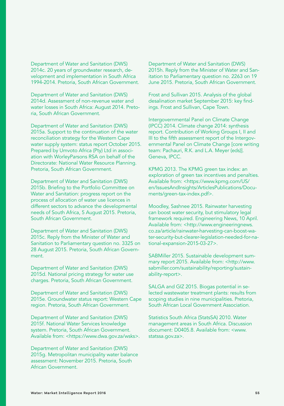Department of Water and Sanitation (DWS) 2014c. 20 years of groundwater research, development and implementation in South Africa 1994-2014. Pretoria, South African Government.

Department of Water and Sanitation (DWS) 2014d. Assessment of non-revenue water and water losses in South Africa: August 2014. Pretoria, South African Government.

Department of Water and Sanitation (DWS) 2015a. Support to the continuation of the water reconciliation strategy for the Western Cape water supply system: status report October 2015. Prepared by Umvoto Africa (Pty) Ltd in association with WorleyParsons RSA on behalf of the Directorate: National Water Resource Planning. Pretoria, South African Government.

Department of Water and Sanitation (DWS) 2015b. Briefing to the Portfolio Committee on Water and Sanitation: progress report on the process of allocation of water use licences in different sectors to advance the developmental needs of South Africa, 5 August 2015. Pretoria, South African Government.

Department of Water and Sanitation (DWS) 2015c. Reply from the Minister of Water and Sanitation to Parliamentary question no. 3325 on 28 August 2015. Pretoria, South African Government.

Department of Water and Sanitation (DWS) 2015d. National pricing strategy for water use charges. Pretoria, South African Government.

Department of Water and Sanitation (DWS) 2015e. Groundwater status report: Western Cape region. Pretoria, South African Government.

Department of Water and Sanitation (DWS) 2015f. National Water Services knowledge system. Pretoria, South African Government. Available from: [<https://www.dwa.gov.za/wsks](https://www.dwa.gov.za/wsks)>.

Department of Water and Sanitation (DWS) 2015g. Metropolitan municipality water balance assessment: November 2015. Pretoria, South African Government.

Department of Water and Sanitation (DWS) 2015h. Reply from the Minister of Water and Sanitation to Parliamentary question no. 2263 on 19 June 2015. Pretoria, South African Government.

Frost and Sullivan 2015. Analysis of the global desalination market September 2015: key findings. Frost and Sullivan, Cape Town.

Intergovernmental Panel on Climate Change (IPCC) 2014. Climate change 2014: synthesis report. Contribution of Working Groups I, II and III to the fifth assessment report of the Intergovernmental Panel on Climate Change [core writing team: Pachauri, R.K. and L.A. Meyer (eds)]. Geneva, IPCC.

KPMG 2013. The KPMG green tax index: an exploration of green tax incentives and penalties. Available from: <[https://www.kpmg.com/US/](https://www.kpmg.com/US/en/IssuesAndInsights/ArticlesPublications/Documents/green-tax-index.pdf) [en/IssuesAndInsights/ArticlesPublications/Docu](https://www.kpmg.com/US/en/IssuesAndInsights/ArticlesPublications/Documents/green-tax-index.pdf)[ments/green-tax-index.pdf>](https://www.kpmg.com/US/en/IssuesAndInsights/ArticlesPublications/Documents/green-tax-index.pdf).

Moodley, Sashnee 2015. Rainwater harvesting can boost water security, but stimulatory legal framework required. Engineering News, 10 April. Available from: <[http://www.engineeringnews.](http://www.engineeringnews.co.za/article/rainwater-harvesting-can-boost-water-security-but-clearer-legislation-needed-for-national-expansion-2015-03-27) [co.za/article/rainwater-harvesting-can-boost-wa](http://www.engineeringnews.co.za/article/rainwater-harvesting-can-boost-water-security-but-clearer-legislation-needed-for-national-expansion-2015-03-27)[ter-security-but-clearer-legislation-needed-for-na](http://www.engineeringnews.co.za/article/rainwater-harvesting-can-boost-water-security-but-clearer-legislation-needed-for-national-expansion-2015-03-27)[tional-expansion-2015-03-27](http://www.engineeringnews.co.za/article/rainwater-harvesting-can-boost-water-security-but-clearer-legislation-needed-for-national-expansion-2015-03-27)>.

SABMiller 2015. Sustainable development summary report 2015. Available from: <[http://www.](http://www.sabmiller.com/sustainability/reporting/sustainability-report) [sabmiller.com/sustainability/reporting/sustain](http://www.sabmiller.com/sustainability/reporting/sustainability-report)[ability-report](http://www.sabmiller.com/sustainability/reporting/sustainability-report)>.

SALGA and GIZ 2015. Biogas potential in selected wastewater treatment plants: results from scoping studies in nine municipalities. Pretoria, South African Local Government Association.

Statistics South Africa (StatsSA) 2010. Water management areas in South Africa. Discussion document: D0405.8. Available from: [<www.](http://www.statssa.gov.za) [statssa.gov.za](http://www.statssa.gov.za)>.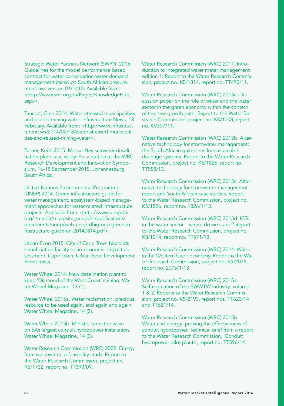Strategic Water Partners Network (SWPN) 2015. Guidelines for the model performance based contract for water conservation water demand management based on South African procurement law: version 01/1410. Available from: [<http://www.wrc.org.za/Pages/KnowledgeHub.](http://www.wrc.org.za/Pages/KnowledgeHub.aspx) [aspx>](http://www.wrc.org.za/Pages/KnowledgeHub.aspx).

Tancott, Glen 2014. Water-stressed municipalities and reused mining water. Infrastructure News, 18 February. Available from: [<http://www.infrastruc](http://www.infrastructurene.ws/2014/02/18/water-stressed-municipalities-and-reused-mining-water)[turene.ws/2014/02/18/water-stressed-municipali](http://www.infrastructurene.ws/2014/02/18/water-stressed-municipalities-and-reused-mining-water)[ties-and-reused-mining-water>](http://www.infrastructurene.ws/2014/02/18/water-stressed-municipalities-and-reused-mining-water).

Turner, Keith 2015. Mossel Bay seawater desalination plant case study. Presentation at the WRC Research Development and Innovation Symposium, 16-18 September 2015, Johannesburg, South Africa.

United Nations Environmental Programme (UNEP) 2014. Green infrastructure guide for water management: ecosystem-based management approaches for water-related infrastructure projects. Available from: <[http://www.unepdhi.](http://www.unepdhi.org/-/media/microsite_unepdhi/publications/documents/unep/web-unep-dhigroup-green-infrastructure-guide-en-20140814.pdf) [org/-/media/microsite\\_unepdhi/publications/](http://www.unepdhi.org/-/media/microsite_unepdhi/publications/documents/unep/web-unep-dhigroup-green-infrastructure-guide-en-20140814.pdf) [documents/unep/web-unep-dhigroup-green-in](http://www.unepdhi.org/-/media/microsite_unepdhi/publications/documents/unep/web-unep-dhigroup-green-infrastructure-guide-en-20140814.pdf)[frastructure-guide-en-20140814.pdf](http://www.unepdhi.org/-/media/microsite_unepdhi/publications/documents/unep/web-unep-dhigroup-green-infrastructure-guide-en-20140814.pdf)>.

Urban-Econ 2015. City of Cape Town biosolids beneficiation facility socio-economic impact assessment. Cape Town, Urban-Econ Development Economists.

Water Wheel 2014. New desalination plant to keep 'Diamond of the West Coast' shining. Water Wheel Magazine, 13 (1).

Water Wheel 2015a. Water reclamation: precious resource to be used again, and again and again. Water Wheel Magazine, 14 (3).

Water Wheel 2015b. Minister turns the valve on SA's largest conduit hydropower installation. Water Wheel Magazine, 14 (3).

Water Research Commission (WRC) 2009. Energy from wastewater: a feasibility study. Report to the Water Research Commission, project no. K5/1732, report no. TT399/09.

Water Research Commission (WRC) 2011. Introduction to integrated water meter management: edition 1. Report to the Water Research Commission, project no. K5/1814, report no. TT490/11.

Water Research Commission (WRC) 2013a. Discussion paper on the role of water and the water sector in the green economy within the context of the new growth path. Report to the Water Research Commission, project no. K8/1008, report no. KV307/13.

Water Research Commission (WRC) 2013b. Alternative technology for stormwater management: the South African guidelines for sustainable drainage systems. Report to the Water Research Commission, project no. K5/1826, report no. TT558/13.

Water Research Commission (WRC) 2013c. Alternative technology for stormwater management: report and South African case studies. Report to the Water Research Commission, project no. K5/1826, report no. 1826/1/13.

Water Research Commission (WRC) 2013d. ICTs in the water sector – where do we stand? Report to the Water Research Commission, project no. K8/1014, report no. TT571/13.

Water Research Commission (WRC) 2014. Water in the Western Cape economy. Report to the Water Research Commission, project no. K5/2075, report no. 2075/1/13.

Water Research Commission (WRC) 2015a. Self-regulation of the SWWTW industry: volume 1 & 2. Reports to the Water Research Commission, project no. K5/2193, report nos. TT620/14 and TT621/14.

Water Research Commission (WRC) 2015b. Water and energy: proving the effectiveness of conduit hydropower. Technical brief from a report to the Water Research Commission, 'Conduit hydropower pilot plants', report no. TT596/14.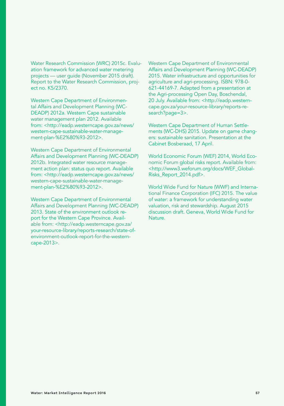Water Research Commission (WRC) 2015c. Evaluation framework for advanced water metering projects — user guide (November 2015 draft). Report to the Water Research Commission, project no. K5/2370.

Western Cape Department of Environmental Affairs and Development Planning (WC-DEADP) 2012a. Western Cape sustainable water management plan 2012. Available from: <[http://eadp.westerncape.gov.za/news/](http://eadp.westerncape.gov.za/news/western-cape-sustainable-water-management-plan-%E2%80%93-2012) [western-cape-sustainable-water-manage](http://eadp.westerncape.gov.za/news/western-cape-sustainable-water-management-plan-%E2%80%93-2012)[ment-plan-%E2%80%93-2012>](http://eadp.westerncape.gov.za/news/western-cape-sustainable-water-management-plan-%E2%80%93-2012).

Western Cape Department of Environmental Affairs and Development Planning (WC-DEADP) 2012b. Integrated water resource management action plan: status quo report. Available from: <[http://eadp.westerncape.gov.za/news/](http://eadp.westerncape.gov.za/news/western-cape-sustainable-water-management-plan-%E2%80%93-2012) [western-cape-sustainable-water-manage](http://eadp.westerncape.gov.za/news/western-cape-sustainable-water-management-plan-%E2%80%93-2012)[ment-plan-%E2%80%93-2012>](http://eadp.westerncape.gov.za/news/western-cape-sustainable-water-management-plan-%E2%80%93-2012).

Western Cape Department of Environmental Affairs and Development Planning (WC-DEADP) 2013. State of the environment outlook report for the Western Cape Province. Avail-able from: [<http://eadp.westerncape.gov.za/](http://eadp.westerncape.gov.za/your-resource-library/reports-research/state-of-environment-outlook-report-for-the-western-cape-2013) [your-resource-library/reports-research/state-of](http://eadp.westerncape.gov.za/your-resource-library/reports-research/state-of-environment-outlook-report-for-the-western-cape-2013)[environment-outlook-report-for-the-western](http://eadp.westerncape.gov.za/your-resource-library/reports-research/state-of-environment-outlook-report-for-the-western-cape-2013)[cape-2013>](http://eadp.westerncape.gov.za/your-resource-library/reports-research/state-of-environment-outlook-report-for-the-western-cape-2013).

Western Cape Department of Environmental Affairs and Development Planning (WC-DEADP) 2015. Water infrastructure and opportunities for agriculture and agri-processing. ISBN: 978-0- 621-44169-7. Adapted from a presentation at the Agri-processing Open Day, Boschendal, 20 July. Available from: <http://eadp.westerncape.gov.za/your-resource-library/reports-research?page=3>.

Western Cape Department of Human Settlements (WC-DHS) 2015. Update on game changers: sustainable sanitation. Presentation at the Cabinet Bosberaad, 17 April.

World Economic Forum (WEF) 2014, World Economic Forum global risks report. Available from: <[http://www3.weforum.org/docs/WEF\\_Global-](http://eadp.westerncape.gov.za/your-resource-library/reports-research/state-of-environment-outlook-report-for-the-western-cape-2013)[Risks\\_Report\\_2014.pdf>](http://eadp.westerncape.gov.za/your-resource-library/reports-research/state-of-environment-outlook-report-for-the-western-cape-2013).

World Wide Fund for Nature (WWF) and International Finance Corporation (IFC) 2015. The value of water: a framework for understanding water valuation, risk and stewardship. August 2015 discussion draft. Geneva, World Wide Fund for Nature.